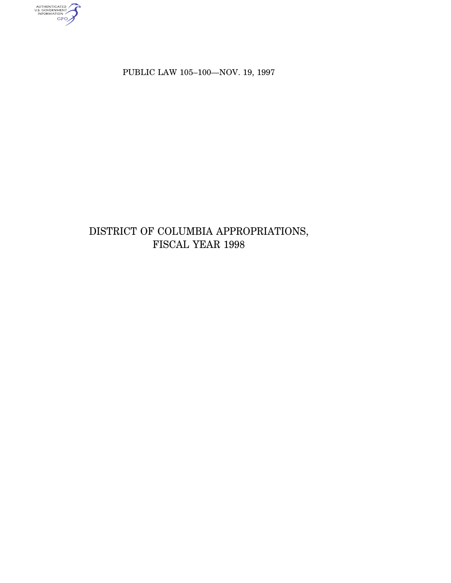AUTHENTICATED<br>U.S. GOVERNMENT<br>INFORMATION

PUBLIC LAW 105–100—NOV. 19, 1997

# DISTRICT OF COLUMBIA APPROPRIATIONS, FISCAL YEAR 1998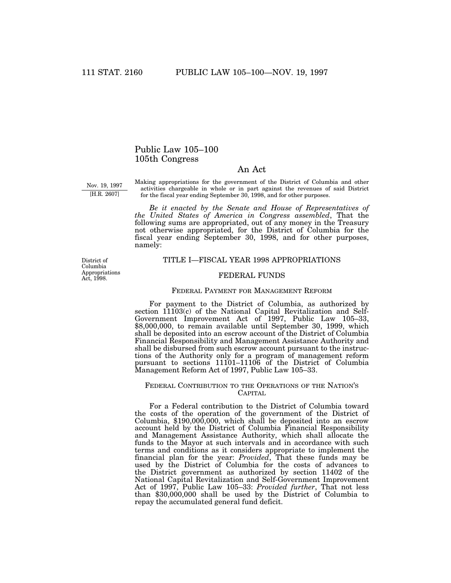# Public Law 105–100 105th Congress

# An Act

Nov. 19, 1997 [H.R. 2607]

Making appropriations for the government of the District of Columbia and other activities chargeable in whole or in part against the revenues of said District for the fiscal year ending September 30, 1998, and for other purposes.

*Be it enacted by the Senate and House of Representatives of the United States of America in Congress assembled*, That the following sums are appropriated, out of any money in the Treasury not otherwise appropriated, for the District of Columbia for the fiscal year ending September 30, 1998, and for other purposes, namely:

District of Columbia Appropriations Act, 1998.

### TITLE I—FISCAL YEAR 1998 APPROPRIATIONS

# FEDERAL FUNDS

#### FEDERAL PAYMENT FOR MANAGEMENT REFORM

For payment to the District of Columbia, as authorized by section 11103(c) of the National Capital Revitalization and Self-Government Improvement Act of 1997, Public Law 105–33, \$8,000,000, to remain available until September 30, 1999, which shall be deposited into an escrow account of the District of Columbia Financial Responsibility and Management Assistance Authority and shall be disbursed from such escrow account pursuant to the instructions of the Authority only for a program of management reform pursuant to sections 11101–11106 of the District of Columbia Management Reform Act of 1997, Public Law 105–33.

# FEDERAL CONTRIBUTION TO THE OPERATIONS OF THE NATION'S CAPITAL

For a Federal contribution to the District of Columbia toward the costs of the operation of the government of the District of Columbia, \$190,000,000, which shall be deposited into an escrow account held by the District of Columbia Financial Responsibility and Management Assistance Authority, which shall allocate the funds to the Mayor at such intervals and in accordance with such terms and conditions as it considers appropriate to implement the financial plan for the year: *Provided*, That these funds may be used by the District of Columbia for the costs of advances to the District government as authorized by section 11402 of the National Capital Revitalization and Self-Government Improvement Act of 1997, Public Law 105–33: *Provided further*, That not less than \$30,000,000 shall be used by the District of Columbia to repay the accumulated general fund deficit.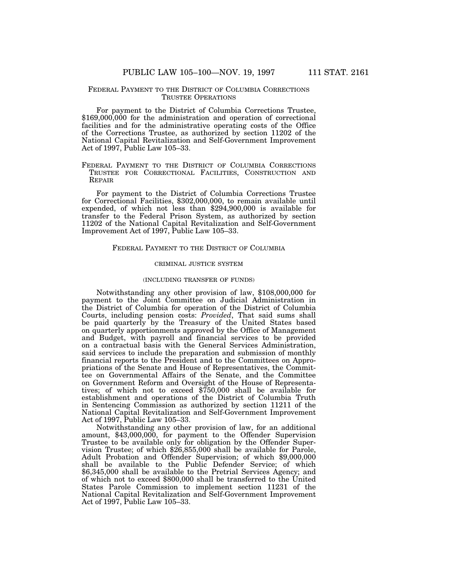#### FEDERAL PAYMENT TO THE DISTRICT OF COLUMBIA CORRECTIONS TRUSTEE OPERATIONS

For payment to the District of Columbia Corrections Trustee, \$169,000,000 for the administration and operation of correctional facilities and for the administrative operating costs of the Office of the Corrections Trustee, as authorized by section 11202 of the National Capital Revitalization and Self-Government Improvement Act of 1997, Public Law 105–33.

# FEDERAL PAYMENT TO THE DISTRICT OF COLUMBIA CORRECTIONS TRUSTEE FOR CORRECTIONAL FACILITIES, CONSTRUCTION AND REPAIR

For payment to the District of Columbia Corrections Trustee for Correctional Facilities, \$302,000,000, to remain available until expended, of which not less than \$294,900,000 is available for transfer to the Federal Prison System, as authorized by section 11202 of the National Capital Revitalization and Self-Government Improvement Act of 1997, Public Law 105–33.

## FEDERAL PAYMENT TO THE DISTRICT OF COLUMBIA

#### CRIMINAL JUSTICE SYSTEM

#### (INCLUDING TRANSFER OF FUNDS)

Notwithstanding any other provision of law, \$108,000,000 for payment to the Joint Committee on Judicial Administration in the District of Columbia for operation of the District of Columbia Courts, including pension costs: *Provided*, That said sums shall be paid quarterly by the Treasury of the United States based on quarterly apportionments approved by the Office of Management and Budget, with payroll and financial services to be provided on a contractual basis with the General Services Administration, said services to include the preparation and submission of monthly financial reports to the President and to the Committees on Appropriations of the Senate and House of Representatives, the Committee on Governmental Affairs of the Senate, and the Committee on Government Reform and Oversight of the House of Representatives; of which not to exceed \$750,000 shall be available for establishment and operations of the District of Columbia Truth in Sentencing Commission as authorized by section 11211 of the National Capital Revitalization and Self-Government Improvement Act of 1997, Public Law 105–33.

Notwithstanding any other provision of law, for an additional amount, \$43,000,000, for payment to the Offender Supervision Trustee to be available only for obligation by the Offender Supervision Trustee; of which \$26,855,000 shall be available for Parole, Adult Probation and Offender Supervision; of which \$9,000,000 shall be available to the Public Defender Service; of which \$6,345,000 shall be available to the Pretrial Services Agency; and of which not to exceed \$800,000 shall be transferred to the United States Parole Commission to implement section 11231 of the National Capital Revitalization and Self-Government Improvement Act of 1997, Public Law 105–33.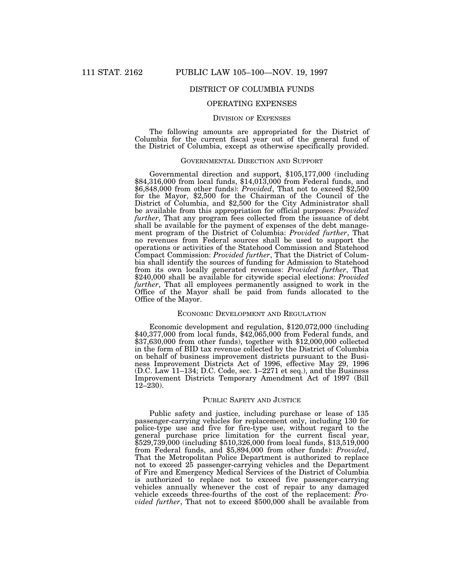# DISTRICT OF COLUMBIA FUNDS

# OPERATING EXPENSES

## DIVISION OF EXPENSES

The following amounts are appropriated for the District of Columbia for the current fiscal year out of the general fund of the District of Columbia, except as otherwise specifically provided.

#### GOVERNMENTAL DIRECTION AND SUPPORT

Governmental direction and support, \$105,177,000 (including \$84,316,000 from local funds, \$14,013,000 from Federal funds, and \$6,848,000 from other funds): *Provided*, That not to exceed \$2,500 for the Mayor, \$2,500 for the Chairman of the Council of the District of Columbia, and \$2,500 for the City Administrator shall be available from this appropriation for official purposes: *Provided further*, That any program fees collected from the issuance of debt shall be available for the payment of expenses of the debt management program of the District of Columbia: *Provided further*, That no revenues from Federal sources shall be used to support the operations or activities of the Statehood Commission and Statehood Compact Commission: *Provided further*, That the District of Columbia shall identify the sources of funding for Admission to Statehood from its own locally generated revenues: *Provided further*, That \$240,000 shall be available for citywide special elections: *Provided further*, That all employees permanently assigned to work in the Office of the Mayor shall be paid from funds allocated to the Office of the Mayor.

#### ECONOMIC DEVELOPMENT AND REGULATION

Economic development and regulation, \$120,072,000 (including \$40,377,000 from local funds, \$42,065,000 from Federal funds, and \$37,630,000 from other funds), together with \$12,000,000 collected in the form of BID tax revenue collected by the District of Columbia on behalf of business improvement districts pursuant to the Business Improvement Districts Act of 1996, effective May 29, 1996 (D.C. Law 11–134; D.C. Code, sec. 1–2271 et seq.), and the Business Improvement Districts Temporary Amendment Act of 1997 (Bill  $12-230$ ).

#### PUBLIC SAFETY AND JUSTICE

Public safety and justice, including purchase or lease of 135 passenger-carrying vehicles for replacement only, including 130 for police-type use and five for fire-type use, without regard to the general purchase price limitation for the current fiscal year, \$529,739,000 (including \$510,326,000 from local funds, \$13,519,000 from Federal funds, and \$5,894,000 from other funds): *Provided*, That the Metropolitan Police Department is authorized to replace not to exceed 25 passenger-carrying vehicles and the Department of Fire and Emergency Medical Services of the District of Columbia is authorized to replace not to exceed five passenger-carrying vehicles annually whenever the cost of repair to any damaged vehicle exceeds three-fourths of the cost of the replacement: *Provided further*, That not to exceed \$500,000 shall be available from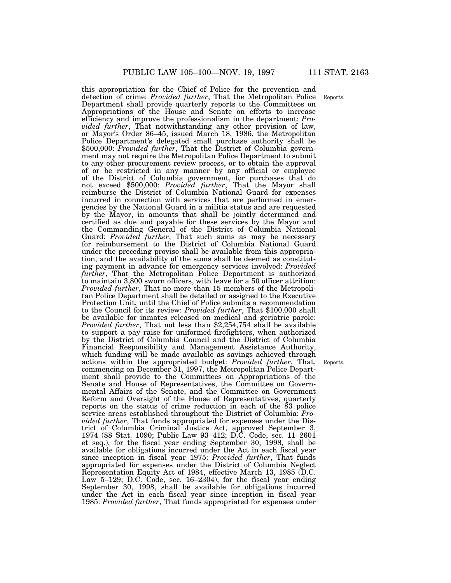this appropriation for the Chief of Police for the prevention and detection of crime: *Provided further*, That the Metropolitan Police Department shall provide quarterly reports to the Committees on Appropriations of the House and Senate on efforts to increase efficiency and improve the professionalism in the department: *Provided further*, That notwithstanding any other provision of law, or Mayor's Order 86–45, issued March 18, 1986, the Metropolitan Police Department's delegated small purchase authority shall be \$500,000: *Provided further*, That the District of Columbia government may not require the Metropolitan Police Department to submit to any other procurement review process, or to obtain the approval of or be restricted in any manner by any official or employee of the District of Columbia government, for purchases that do not exceed \$500,000: *Provided further*, That the Mayor shall reimburse the District of Columbia National Guard for expenses incurred in connection with services that are performed in emergencies by the National Guard in a militia status and are requested by the Mayor, in amounts that shall be jointly determined and certified as due and payable for these services by the Mayor and the Commanding General of the District of Columbia National Guard: *Provided further*, That such sums as may be necessary for reimbursement to the District of Columbia National Guard under the preceding proviso shall be available from this appropriation, and the availability of the sums shall be deemed as constituting payment in advance for emergency services involved: *Provided further*, That the Metropolitan Police Department is authorized to maintain 3,800 sworn officers, with leave for a 50 officer attrition: *Provided further*, That no more than 15 members of the Metropolitan Police Department shall be detailed or assigned to the Executive Protection Unit, until the Chief of Police submits a recommendation to the Council for its review: *Provided further*, That \$100,000 shall be available for inmates released on medical and geriatric parole: *Provided further*, That not less than \$2,254,754 shall be available to support a pay raise for uniformed firefighters, when authorized by the District of Columbia Council and the District of Columbia Financial Responsibility and Management Assistance Authority, which funding will be made available as savings achieved through actions within the appropriated budget: *Provided further*, That, commencing on December 31, 1997, the Metropolitan Police Department shall provide to the Committees on Appropriations of the Senate and House of Representatives, the Committee on Governmental Affairs of the Senate, and the Committee on Government Reform and Oversight of the House of Representatives, quarterly reports on the status of crime reduction in each of the 83 police service areas established throughout the District of Columbia: *Provided further*, That funds appropriated for expenses under the District of Columbia Criminal Justice Act, approved September 3, 1974 (88 Stat. 1090; Public Law 93–412; D.C. Code, sec. 11–2601 et seq.), for the fiscal year ending September 30, 1998, shall be available for obligations incurred under the Act in each fiscal year since inception in fiscal year 1975: *Provided further*, That funds appropriated for expenses under the District of Columbia Neglect Representation Equity Act of 1984, effective March 13, 1985 (D.C. Law 5-129; D.C. Code, sec. 16-2304), for the fiscal year ending September 30, 1998, shall be available for obligations incurred under the Act in each fiscal year since inception in fiscal year 1985: *Provided further*, That funds appropriated for expenses under

Reports.

Reports.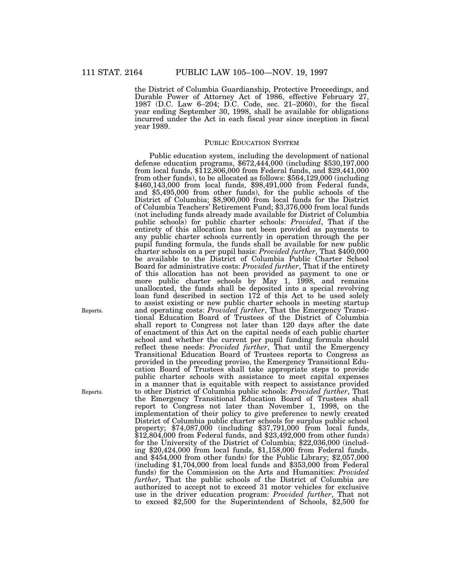the District of Columbia Guardianship, Protective Proceedings, and Durable Power of Attorney Act of 1986, effective February 27, 1987 (D.C. Law 6–204; D.C. Code, sec. 21–2060), for the fiscal year ending September 30, 1998, shall be available for obligations incurred under the Act in each fiscal year since inception in fiscal year 1989.

# PUBLIC EDUCATION SYSTEM

Public education system, including the development of national defense education programs, \$672,444,000 (including \$530,197,000 from local funds, \$112,806,000 from Federal funds, and \$29,441,000 from other funds), to be allocated as follows: \$564,129,000 (including \$460,143,000 from local funds, \$98,491,000 from Federal funds, and \$5,495,000 from other funds), for the public schools of the District of Columbia; \$8,900,000 from local funds for the District of Columbia Teachers' Retirement Fund; \$3,376,000 from local funds (not including funds already made available for District of Columbia public schools) for public charter schools: *Provided*, That if the entirety of this allocation has not been provided as payments to any public charter schools currently in operation through the per pupil funding formula, the funds shall be available for new public charter schools on a per pupil basis: *Provided further*, That \$400,000 be available to the District of Columbia Public Charter School Board for administrative costs: *Provided further*, That if the entirety of this allocation has not been provided as payment to one or more public charter schools by May 1, 1998, and remains unallocated, the funds shall be deposited into a special revolving loan fund described in section 172 of this Act to be used solely to assist existing or new public charter schools in meeting startup and operating costs: *Provided further*, That the Emergency Transitional Education Board of Trustees of the District of Columbia shall report to Congress not later than 120 days after the date of enactment of this Act on the capital needs of each public charter school and whether the current per pupil funding formula should reflect these needs: *Provided further*, That until the Emergency Transitional Education Board of Trustees reports to Congress as provided in the preceding proviso, the Emergency Transitional Education Board of Trustees shall take appropriate steps to provide public charter schools with assistance to meet capital expenses in a manner that is equitable with respect to assistance provided to other District of Columbia public schools: *Provided further*, That the Emergency Transitional Education Board of Trustees shall report to Congress not later than November 1, 1998, on the implementation of their policy to give preference to newly created District of Columbia public charter schools for surplus public school property; \$74,087,000 (including \$37,791,000 from local funds, \$12,804,000 from Federal funds, and \$23,492,000 from other funds) for the University of the District of Columbia; \$22,036,000 (including \$20,424,000 from local funds, \$1,158,000 from Federal funds, and \$454,000 from other funds) for the Public Library; \$2,057,000 (including \$1,704,000 from local funds and \$353,000 from Federal funds) for the Commission on the Arts and Humanities: *Provided further*, That the public schools of the District of Columbia are authorized to accept not to exceed 31 motor vehicles for exclusive use in the driver education program: *Provided further*, That not to exceed \$2,500 for the Superintendent of Schools, \$2,500 for

Reports.

Reports.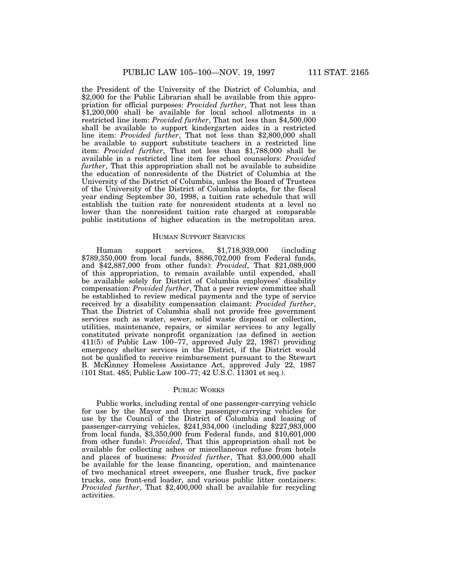the President of the University of the District of Columbia, and \$2,000 for the Public Librarian shall be available from this appropriation for official purposes: *Provided further*, That not less than \$1,200,000 shall be available for local school allotments in a restricted line item: *Provided further*, That not less than \$4,500,000 shall be available to support kindergarten aides in a restricted line item: *Provided further*, That not less than \$2,800,000 shall be available to support substitute teachers in a restricted line item: *Provided further*, That not less than \$1,788,000 shall be available in a restricted line item for school counselors: *Provided further*, That this appropriation shall not be available to subsidize the education of nonresidents of the District of Columbia at the University of the District of Columbia, unless the Board of Trustees of the University of the District of Columbia adopts, for the fiscal year ending September 30, 1998, a tuition rate schedule that will establish the tuition rate for nonresident students at a level no lower than the nonresident tuition rate charged at comparable public institutions of higher education in the metropolitan area.

#### HUMAN SUPPORT SERVICES

Human support services, \$1,718,939,000 (including \$789,350,000 from local funds, \$886,702,000 from Federal funds, and \$42,887,000 from other funds): *Provided*, That \$21,089,000 of this appropriation, to remain available until expended, shall be available solely for District of Columbia employees' disability compensation: *Provided further*, That a peer review committee shall be established to review medical payments and the type of service received by a disability compensation claimant: *Provided further*, That the District of Columbia shall not provide free government services such as water, sewer, solid waste disposal or collection, utilities, maintenance, repairs, or similar services to any legally constituted private nonprofit organization (as defined in section 411(5) of Public Law 100–77, approved July 22, 1987) providing emergency shelter services in the District, if the District would not be qualified to receive reimbursement pursuant to the Stewart B. McKinney Homeless Assistance Act, approved July 22, 1987 (101 Stat. 485; Public Law 100–77; 42 U.S.C. 11301 et seq.).

## PUBLIC WORKS

Public works, including rental of one passenger-carrying vehicle for use by the Mayor and three passenger-carrying vehicles for use by the Council of the District of Columbia and leasing of passenger-carrying vehicles, \$241,934,000 (including \$227,983,000 from local funds, \$3,350,000 from Federal funds, and \$10,601,000 from other funds): *Provided*, That this appropriation shall not be available for collecting ashes or miscellaneous refuse from hotels and places of business: *Provided further*, That \$3,000,000 shall be available for the lease financing, operation, and maintenance of two mechanical street sweepers, one flusher truck, five packer trucks, one front-end loader, and various public litter containers: *Provided further*, That \$2,400,000 shall be available for recycling activities.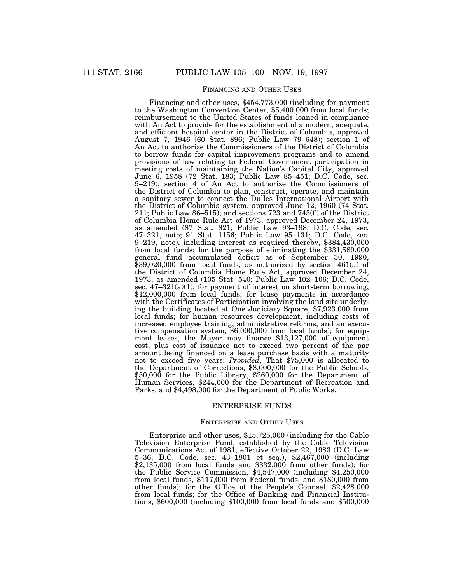# FINANCING AND OTHER USES

Financing and other uses, \$454,773,000 (including for payment to the Washington Convention Center, \$5,400,000 from local funds; reimbursement to the United States of funds loaned in compliance with An Act to provide for the establishment of a modern, adequate, and efficient hospital center in the District of Columbia, approved August 7, 1946 (60 Stat. 896; Public Law 79–648); section 1 of An Act to authorize the Commissioners of the District of Columbia to borrow funds for capital improvement programs and to amend provisions of law relating to Federal Government participation in meeting costs of maintaining the Nation's Capital City, approved June 6, 1958 (72 Stat. 183; Public Law 85–451; D.C. Code, sec. 9–219); section 4 of An Act to authorize the Commissioners of the District of Columbia to plan, construct, operate, and maintain a sanitary sewer to connect the Dulles International Airport with the District of Columbia system, approved June 12, 1960 (74 Stat. 211; Public Law 86–515); and sections 723 and 743 $(f)$  of the District of Columbia Home Rule Act of 1973, approved December 24, 1973, as amended (87 Stat. 821; Public Law 93–198; D.C. Code, sec. 47–321, note; 91 Stat. 1156; Public Law 95–131; D.C. Code, sec. 9–219, note), including interest as required thereby, \$384,430,000 from local funds; for the purpose of eliminating the \$331,589,000 general fund accumulated deficit as of September 30, 1990, \$39,020,000 from local funds, as authorized by section 461(a) of the District of Columbia Home Rule Act, approved December 24, 1973, as amended (105 Stat. 540; Public Law 102–106; D.C. Code, sec.  $47-321(a)(1)$ ; for payment of interest on short-term borrowing, \$12,000,000 from local funds; for lease payments in accordance with the Certificates of Participation involving the land site underlying the building located at One Judiciary Square, \$7,923,000 from local funds; for human resources development, including costs of increased employee training, administrative reforms, and an executive compensation system, \$6,000,000 from local funds); for equipment leases, the Mayor may finance \$13,127,000 of equipment cost, plus cost of issuance not to exceed two percent of the par amount being financed on a lease purchase basis with a maturity not to exceed five years: *Provided*, That \$75,000 is allocated to the Department of Corrections, \$8,000,000 for the Public Schools, \$50,000 for the Public Library, \$260,000 for the Department of Human Services, \$244,000 for the Department of Recreation and Parks, and \$4,498,000 for the Department of Public Works.

### ENTERPRISE FUNDS

#### ENTERPRISE AND OTHER USES

Enterprise and other uses, \$15,725,000 (including for the Cable Television Enterprise Fund, established by the Cable Television Communications Act of 1981, effective October 22, 1983 (D.C. Law 5–36; D.C. Code, sec. 43–1801 et seq.), \$2,467,000 (including \$2,135,000 from local funds and \$332,000 from other funds); for the Public Service Commission, \$4,547,000 (including \$4,250,000 from local funds, \$117,000 from Federal funds, and \$180,000 from other funds); for the Office of the People's Counsel, \$2,428,000 from local funds; for the Office of Banking and Financial Institutions, \$600,000 (including \$100,000 from local funds and \$500,000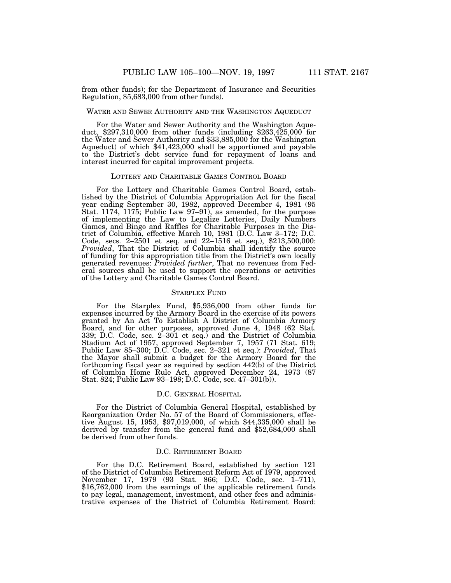from other funds); for the Department of Insurance and Securities Regulation, \$5,683,000 from other funds).

# WATER AND SEWER AUTHORITY AND THE WASHINGTON AQUEDUCT

For the Water and Sewer Authority and the Washington Aqueduct, \$297,310,000 from other funds (including \$263,425,000 for the Water and Sewer Authority and \$33,885,000 for the Washington Aqueduct) of which \$41,423,000 shall be apportioned and payable to the District's debt service fund for repayment of loans and interest incurred for capital improvement projects.

#### LOTTERY AND CHARITABLE GAMES CONTROL BOARD

For the Lottery and Charitable Games Control Board, established by the District of Columbia Appropriation Act for the fiscal year ending September 30, 1982, approved December 4, 1981 (95 Stat. 1174, 1175; Public Law 97–91), as amended, for the purpose of implementing the Law to Legalize Lotteries, Daily Numbers Games, and Bingo and Raffles for Charitable Purposes in the District of Columbia, effective March 10, 1981 (D.C. Law 3–172; D.C. Code, secs. 2–2501 et seq. and 22–1516 et seq.), \$213,500,000: *Provided*, That the District of Columbia shall identify the source of funding for this appropriation title from the District's own locally generated revenues: *Provided further*, That no revenues from Federal sources shall be used to support the operations or activities of the Lottery and Charitable Games Control Board.

# STARPLEX FUND

For the Starplex Fund, \$5,936,000 from other funds for expenses incurred by the Armory Board in the exercise of its powers granted by An Act To Establish A District of Columbia Armory Board, and for other purposes, approved June 4, 1948 (62 Stat. 339; D.C. Code, sec. 2–301 et seq.) and the District of Columbia Stadium Act of 1957, approved September 7, 1957 (71 Stat. 619; Public Law 85–300; D.C. Code, sec. 2–321 et seq.): *Provided*, That the Mayor shall submit a budget for the Armory Board for the forthcoming fiscal year as required by section  $442(b)$  of the District of Columbia Home Rule Act, approved December 24, 1973 (87 Stat. 824; Public Law 93–198; D.C. Code, sec. 47–301(b)).

# D.C. GENERAL HOSPITAL

For the District of Columbia General Hospital, established by Reorganization Order No. 57 of the Board of Commissioners, effective August 15, 1953, \$97,019,000, of which \$44,335,000 shall be derived by transfer from the general fund and \$52,684,000 shall be derived from other funds.

#### D.C. RETIREMENT BOARD

For the D.C. Retirement Board, established by section 121 of the District of Columbia Retirement Reform Act of 1979, approved November 17, 1979 (93 Stat. 866; D.C. Code, sec. 1–711), \$16,762,000 from the earnings of the applicable retirement funds to pay legal, management, investment, and other fees and administrative expenses of the District of Columbia Retirement Board: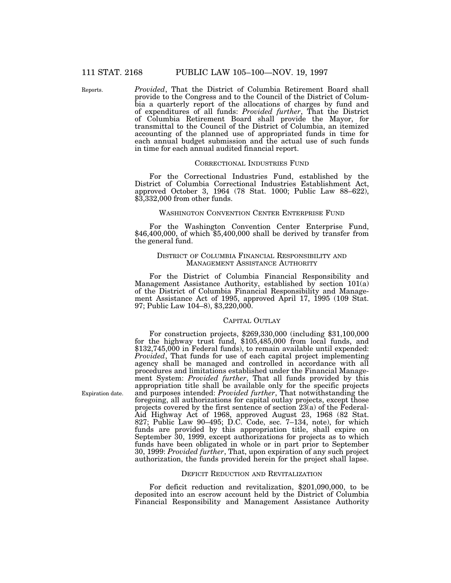Reports.

*Provided*, That the District of Columbia Retirement Board shall provide to the Congress and to the Council of the District of Columbia a quarterly report of the allocations of charges by fund and of expenditures of all funds: *Provided further*, That the District of Columbia Retirement Board shall provide the Mayor, for transmittal to the Council of the District of Columbia, an itemized accounting of the planned use of appropriated funds in time for each annual budget submission and the actual use of such funds in time for each annual audited financial report.

#### CORRECTIONAL INDUSTRIES FUND

For the Correctional Industries Fund, established by the District of Columbia Correctional Industries Establishment Act, approved October 3, 1964 (78 Stat. 1000; Public Law 88–622), \$3,332,000 from other funds.

#### WASHINGTON CONVENTION CENTER ENTERPRISE FUND

For the Washington Convention Center Enterprise Fund, \$46,400,000, of which \$5,400,000 shall be derived by transfer from the general fund.

## DISTRICT OF COLUMBIA FINANCIAL RESPONSIBILITY AND MANAGEMENT ASSISTANCE AUTHORITY

For the District of Columbia Financial Responsibility and Management Assistance Authority, established by section 101(a) of the District of Columbia Financial Responsibility and Management Assistance Act of 1995, approved April 17, 1995 (109 Stat. 97; Public Law 104–8), \$3,220,000.

# CAPITAL OUTLAY

For construction projects, \$269,330,000 (including \$31,100,000 for the highway trust fund, \$105,485,000 from local funds, and \$132,745,000 in Federal funds), to remain available until expended: *Provided*, That funds for use of each capital project implementing agency shall be managed and controlled in accordance with all procedures and limitations established under the Financial Management System: *Provided further*, That all funds provided by this appropriation title shall be available only for the specific projects and purposes intended: *Provided further*, That notwithstanding the foregoing, all authorizations for capital outlay projects, except those projects covered by the first sentence of section 23(a) of the Federal-Aid Highway Act of 1968, approved August 23, 1968 (82 Stat. 827; Public Law 90–495; D.C. Code, sec. 7–134, note), for which funds are provided by this appropriation title, shall expire on September 30, 1999, except authorizations for projects as to which funds have been obligated in whole or in part prior to September 30, 1999: *Provided further*, That, upon expiration of any such project authorization, the funds provided herein for the project shall lapse.

#### DEFICIT REDUCTION AND REVITALIZATION

For deficit reduction and revitalization, \$201,090,000, to be deposited into an escrow account held by the District of Columbia Financial Responsibility and Management Assistance Authority

Expiration date.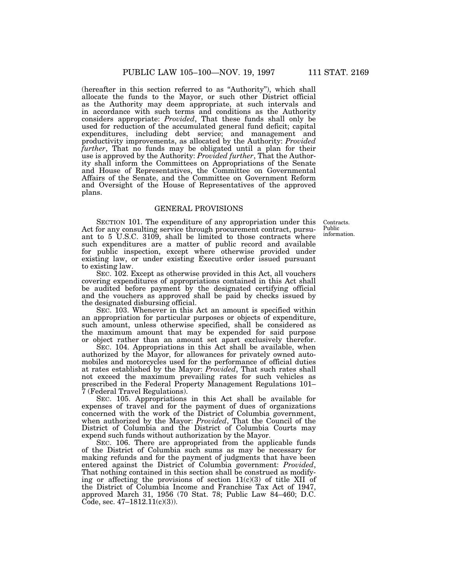(hereafter in this section referred to as ''Authority''), which shall allocate the funds to the Mayor, or such other District official as the Authority may deem appropriate, at such intervals and in accordance with such terms and conditions as the Authority considers appropriate: *Provided*, That these funds shall only be used for reduction of the accumulated general fund deficit; capital expenditures, including debt service; and management and productivity improvements, as allocated by the Authority: *Provided further*, That no funds may be obligated until a plan for their use is approved by the Authority: *Provided further*, That the Authority shall inform the Committees on Appropriations of the Senate and House of Representatives, the Committee on Governmental Affairs of the Senate, and the Committee on Government Reform and Oversight of the House of Representatives of the approved plans.

# GENERAL PROVISIONS

Contracts. Public information.

SECTION 101. The expenditure of any appropriation under this Act for any consulting service through procurement contract, pursuant to 5 U.S.C. 3109, shall be limited to those contracts where such expenditures are a matter of public record and available for public inspection, except where otherwise provided under existing law, or under existing Executive order issued pursuant to existing law.

SEC. 102. Except as otherwise provided in this Act, all vouchers covering expenditures of appropriations contained in this Act shall be audited before payment by the designated certifying official and the vouchers as approved shall be paid by checks issued by the designated disbursing official.

SEC. 103. Whenever in this Act an amount is specified within an appropriation for particular purposes or objects of expenditure, such amount, unless otherwise specified, shall be considered as the maximum amount that may be expended for said purpose or object rather than an amount set apart exclusively therefor.

SEC. 104. Appropriations in this Act shall be available, when authorized by the Mayor, for allowances for privately owned automobiles and motorcycles used for the performance of official duties at rates established by the Mayor: *Provided*, That such rates shall not exceed the maximum prevailing rates for such vehicles as prescribed in the Federal Property Management Regulations 101– 7 (Federal Travel Regulations).

SEC. 105. Appropriations in this Act shall be available for expenses of travel and for the payment of dues of organizations concerned with the work of the District of Columbia government, when authorized by the Mayor: *Provided*, That the Council of the District of Columbia and the District of Columbia Courts may expend such funds without authorization by the Mayor.

SEC. 106. There are appropriated from the applicable funds of the District of Columbia such sums as may be necessary for making refunds and for the payment of judgments that have been entered against the District of Columbia government: *Provided*, That nothing contained in this section shall be construed as modifying or affecting the provisions of section  $11(c)(3)$  of title XII of the District of Columbia Income and Franchise Tax Act of 1947, approved March 31, 1956 (70 Stat. 78; Public Law 84–460; D.C. Code, sec.  $47-1812.11(c)(3)$ ).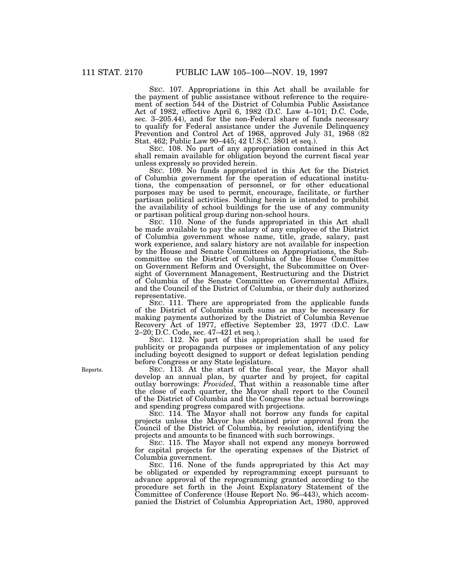SEC. 107. Appropriations in this Act shall be available for the payment of public assistance without reference to the requirement of section 544 of the District of Columbia Public Assistance Act of 1982, effective April 6, 1982 (D.C. Law 4–101; D.C. Code, sec. 3–205.44), and for the non-Federal share of funds necessary to qualify for Federal assistance under the Juvenile Delinquency Prevention and Control Act of 1968, approved July 31, 1968 (82 Stat. 462; Public Law 90–445; 42 U.S.C. 3801 et seq.).

SEC. 108. No part of any appropriation contained in this Act shall remain available for obligation beyond the current fiscal year unless expressly so provided herein.

SEC. 109. No funds appropriated in this Act for the District of Columbia government for the operation of educational institutions, the compensation of personnel, or for other educational purposes may be used to permit, encourage, facilitate, or further partisan political activities. Nothing herein is intended to prohibit the availability of school buildings for the use of any community or partisan political group during non-school hours.

SEC. 110. None of the funds appropriated in this Act shall be made available to pay the salary of any employee of the District of Columbia government whose name, title, grade, salary, past work experience, and salary history are not available for inspection by the House and Senate Committees on Appropriations, the Subcommittee on the District of Columbia of the House Committee on Government Reform and Oversight, the Subcommittee on Oversight of Government Management, Restructuring and the District of Columbia of the Senate Committee on Governmental Affairs, and the Council of the District of Columbia, or their duly authorized representative.

SEC. 111. There are appropriated from the applicable funds of the District of Columbia such sums as may be necessary for making payments authorized by the District of Columbia Revenue Recovery Act of 1977, effective September 23, 1977 (D.C. Law 2–20; D.C. Code, sec. 47–421 et seq.).

SEC. 112. No part of this appropriation shall be used for publicity or propaganda purposes or implementation of any policy including boycott designed to support or defeat legislation pending before Congress or any State legislature.

SEC. 113. At the start of the fiscal year, the Mayor shall develop an annual plan, by quarter and by project, for capital outlay borrowings: *Provided*, That within a reasonable time after the close of each quarter, the Mayor shall report to the Council of the District of Columbia and the Congress the actual borrowings and spending progress compared with projections.

SEC. 114. The Mayor shall not borrow any funds for capital projects unless the Mayor has obtained prior approval from the Council of the District of Columbia, by resolution, identifying the projects and amounts to be financed with such borrowings.

SEC. 115. The Mayor shall not expend any moneys borrowed for capital projects for the operating expenses of the District of Columbia government.

SEC. 116. None of the funds appropriated by this Act may be obligated or expended by reprogramming except pursuant to advance approval of the reprogramming granted according to the procedure set forth in the Joint Explanatory Statement of the Committee of Conference (House Report No. 96–443), which accompanied the District of Columbia Appropriation Act, 1980, approved

Reports.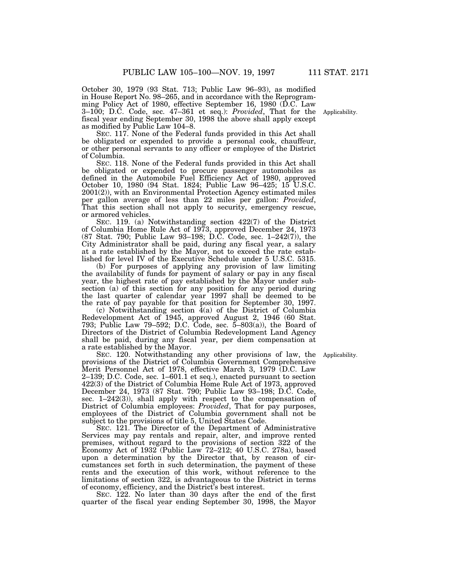October 30, 1979 (93 Stat. 713; Public Law 96–93), as modified in House Report No. 98–265, and in accordance with the Reprogramming Policy Act of 1980, effective September 16, 1980 (D.C. Law 3–100; D.C. Code, sec. 47–361 et seq.): *Provided*, That for the fiscal year ending September 30, 1998 the above shall apply except as modified by Public Law 104–8.

SEC. 117. None of the Federal funds provided in this Act shall be obligated or expended to provide a personal cook, chauffeur, or other personal servants to any officer or employee of the District of Columbia.

SEC. 118. None of the Federal funds provided in this Act shall be obligated or expended to procure passenger automobiles as defined in the Automobile Fuel Efficiency Act of 1980, approved October 10, 1980 (94 Stat. 1824; Public Law 96–425; 15 U.S.C. 2001(2)), with an Environmental Protection Agency estimated miles per gallon average of less than 22 miles per gallon: *Provided*, That this section shall not apply to security, emergency rescue, or armored vehicles.

SEC. 119. (a) Notwithstanding section 422(7) of the District of Columbia Home Rule Act of 1973, approved December 24, 1973 (87 Stat. 790; Public Law 93–198; D.C. Code, sec. 1–242(7)), the City Administrator shall be paid, during any fiscal year, a salary at a rate established by the Mayor, not to exceed the rate established for level IV of the Executive Schedule under 5 U.S.C. 5315.

(b) For purposes of applying any provision of law limiting the availability of funds for payment of salary or pay in any fiscal year, the highest rate of pay established by the Mayor under subsection (a) of this section for any position for any period during the last quarter of calendar year 1997 shall be deemed to be the rate of pay payable for that position for September 30, 1997.

(c) Notwithstanding section  $\overline{4}$ (a) of the District of Columbia Redevelopment Act of 1945, approved August 2, 1946 (60 Stat. 793; Public Law 79–592; D.C. Code, sec. 5–803(a)), the Board of Directors of the District of Columbia Redevelopment Land Agency shall be paid, during any fiscal year, per diem compensation at a rate established by the Mayor.

SEC. 120. Notwithstanding any other provisions of law, the provisions of the District of Columbia Government Comprehensive Merit Personnel Act of 1978, effective March 3, 1979 (D.C. Law 2–139; D.C. Code, sec. 1–601.1 et seq.), enacted pursuant to section 422(3) of the District of Columbia Home Rule Act of 1973, approved December 24, 1973 (87 Stat. 790; Public Law 93–198; D.C. Code, sec. 1–242(3)), shall apply with respect to the compensation of District of Columbia employees: *Provided*, That for pay purposes, employees of the District of Columbia government shall not be subject to the provisions of title 5, United States Code.

SEC. 121. The Director of the Department of Administrative Services may pay rentals and repair, alter, and improve rented premises, without regard to the provisions of section 322 of the Economy Act of 1932 (Public Law 72–212; 40 U.S.C. 278a), based upon a determination by the Director that, by reason of circumstances set forth in such determination, the payment of these rents and the execution of this work, without reference to the limitations of section 322, is advantageous to the District in terms of economy, efficiency, and the District's best interest.

SEC. 122. No later than 30 days after the end of the first quarter of the fiscal year ending September 30, 1998, the Mayor

Applicability.

Applicability.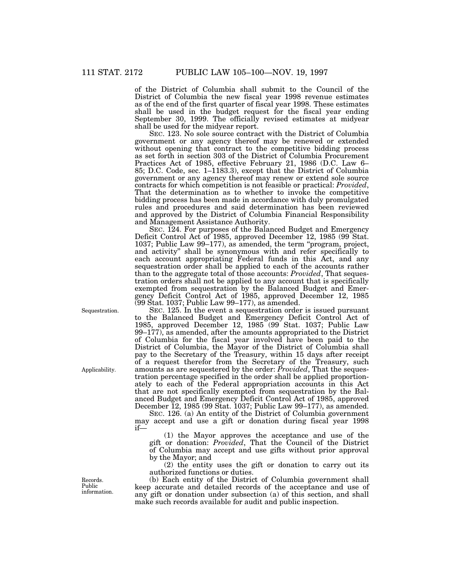of the District of Columbia shall submit to the Council of the District of Columbia the new fiscal year 1998 revenue estimates as of the end of the first quarter of fiscal year 1998. These estimates shall be used in the budget request for the fiscal year ending September 30, 1999. The officially revised estimates at midyear shall be used for the midyear report.

SEC. 123. No sole source contract with the District of Columbia government or any agency thereof may be renewed or extended without opening that contract to the competitive bidding process as set forth in section 303 of the District of Columbia Procurement Practices Act of 1985, effective February 21, 1986 (D.C. Law 6– 85; D.C. Code, sec. 1–1183.3), except that the District of Columbia government or any agency thereof may renew or extend sole source contracts for which competition is not feasible or practical: *Provided*, That the determination as to whether to invoke the competitive bidding process has been made in accordance with duly promulgated rules and procedures and said determination has been reviewed and approved by the District of Columbia Financial Responsibility and Management Assistance Authority.

SEC. 124. For purposes of the Balanced Budget and Emergency Deficit Control Act of 1985, approved December 12, 1985 (99 Stat. 1037; Public Law 99–177), as amended, the term ''program, project, and activity'' shall be synonymous with and refer specifically to each account appropriating Federal funds in this Act, and any sequestration order shall be applied to each of the accounts rather than to the aggregate total of those accounts: *Provided*, That sequestration orders shall not be applied to any account that is specifically exempted from sequestration by the Balanced Budget and Emergency Deficit Control Act of 1985, approved December 12, 1985 (99 Stat. 1037; Public Law 99–177), as amended.

SEC. 125. In the event a sequestration order is issued pursuant to the Balanced Budget and Emergency Deficit Control Act of 1985, approved December 12, 1985 (99 Stat. 1037; Public Law 99–177), as amended, after the amounts appropriated to the District of Columbia for the fiscal year involved have been paid to the District of Columbia, the Mayor of the District of Columbia shall pay to the Secretary of the Treasury, within 15 days after receipt of a request therefor from the Secretary of the Treasury, such amounts as are sequestered by the order: *Provided*, That the sequestration percentage specified in the order shall be applied proportionately to each of the Federal appropriation accounts in this Act that are not specifically exempted from sequestration by the Balanced Budget and Emergency Deficit Control Act of 1985, approved December 12, 1985 (99 Stat. 1037; Public Law 99–177), as amended.

SEC. 126. (a) An entity of the District of Columbia government may accept and use a gift or donation during fiscal year 1998 if—

(1) the Mayor approves the acceptance and use of the gift or donation: *Provided*, That the Council of the District of Columbia may accept and use gifts without prior approval by the Mayor; and

(2) the entity uses the gift or donation to carry out its authorized functions or duties.

(b) Each entity of the District of Columbia government shall keep accurate and detailed records of the acceptance and use of any gift or donation under subsection (a) of this section, and shall make such records available for audit and public inspection.

Sequestration.

Applicability.

Records. Public information.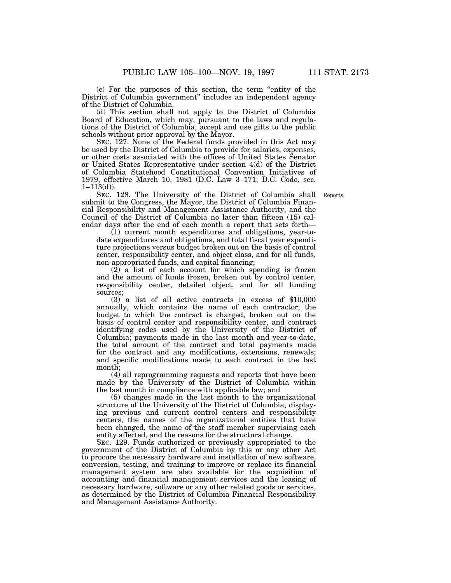(c) For the purposes of this section, the term ''entity of the District of Columbia government'' includes an independent agency of the District of Columbia.

(d) This section shall not apply to the District of Columbia Board of Education, which may, pursuant to the laws and regulations of the District of Columbia, accept and use gifts to the public schools without prior approval by the Mayor.

SEC. 127. None of the Federal funds provided in this Act may be used by the District of Columbia to provide for salaries, expenses, or other costs associated with the offices of United States Senator or United States Representative under section 4(d) of the District of Columbia Statehood Constitutional Convention Initiatives of 1979, effective March 10, 1981 (D.C. Law 3–171; D.C. Code, sec.  $1 - 113(d)$ ).

SEC. 128. The University of the District of Columbia shall Reports.submit to the Congress, the Mayor, the District of Columbia Financial Responsibility and Management Assistance Authority, and the Council of the District of Columbia no later than fifteen (15) calendar days after the end of each month a report that sets forth—

(1) current month expenditures and obligations, year-todate expenditures and obligations, and total fiscal year expenditure projections versus budget broken out on the basis of control center, responsibility center, and object class, and for all funds, non-appropriated funds, and capital financing;

(2) a list of each account for which spending is frozen and the amount of funds frozen, broken out by control center, responsibility center, detailed object, and for all funding sources;

(3) a list of all active contracts in excess of \$10,000 annually, which contains the name of each contractor; the budget to which the contract is charged, broken out on the basis of control center and responsibility center, and contract identifying codes used by the University of the District of Columbia; payments made in the last month and year-to-date, the total amount of the contract and total payments made for the contract and any modifications, extensions, renewals; and specific modifications made to each contract in the last month;

(4) all reprogramming requests and reports that have been made by the University of the District of Columbia within the last month in compliance with applicable law; and

(5) changes made in the last month to the organizational structure of the University of the District of Columbia, displaying previous and current control centers and responsibility centers, the names of the organizational entities that have been changed, the name of the staff member supervising each entity affected, and the reasons for the structural change.

SEC. 129. Funds authorized or previously appropriated to the government of the District of Columbia by this or any other Act to procure the necessary hardware and installation of new software, conversion, testing, and training to improve or replace its financial management system are also available for the acquisition of accounting and financial management services and the leasing of necessary hardware, software or any other related goods or services, as determined by the District of Columbia Financial Responsibility and Management Assistance Authority.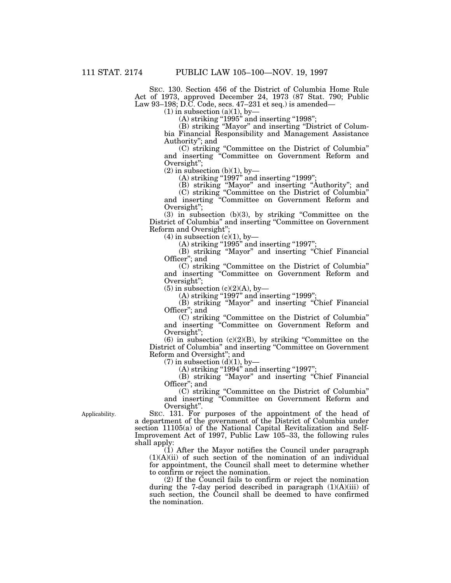SEC. 130. Section 456 of the District of Columbia Home Rule Act of 1973, approved December 24, 1973 (87 Stat. 790; Public Law 93–198; D.C. Code, secs. 47–231 et seq.) is amended—

 $(1)$  in subsection  $(a)(1)$ , by-

(A) striking "1995" and inserting "1998";

(B) striking ''Mayor'' and inserting ''District of Columbia Financial Responsibility and Management Assistance Authority''; and

(C) striking ''Committee on the District of Columbia'' and inserting ''Committee on Government Reform and Oversight'';

 $(2)$  in subsection  $(b)(1)$ , by-

 $(A)$  striking "1997" and inserting "1999";

(B) striking ''Mayor'' and inserting ''Authority''; and

(C) striking ''Committee on the District of Columbia'' and inserting ''Committee on Government Reform and Oversight'';

(3) in subsection (b)(3), by striking ''Committee on the District of Columbia" and inserting "Committee on Government Reform and Oversight'';

 $(4)$  in subsection  $(c)(1)$ , by-

 $(A)$  striking "1995" and inserting "1997";

(B) striking ''Mayor'' and inserting ''Chief Financial Officer''; and

(C) striking ''Committee on the District of Columbia'' and inserting ''Committee on Government Reform and Oversight'';

 $(5)$  in subsection  $(c)(2)(A)$ , by-

(A) striking "1997" and inserting "1999";

(B) striking ''Mayor'' and inserting ''Chief Financial Officer''; and

(C) striking ''Committee on the District of Columbia'' and inserting ''Committee on Government Reform and Oversight'';

 $(6)$  in subsection  $(c)(2)(B)$ , by striking "Committee on the District of Columbia" and inserting "Committee on Government" Reform and Oversight''; and

 $(7)$  in subsection  $(d)(1)$ , by-

 $(A)$  striking "1994" and inserting "1997";

(B) striking ''Mayor'' and inserting ''Chief Financial Officer''; and

(C) striking ''Committee on the District of Columbia'' and inserting ''Committee on Government Reform and Oversight''.

SEC. 131. For purposes of the appointment of the head of a department of the government of the District of Columbia under

section 11105(a) of the National Capital Revitalization and Self-Improvement Act of 1997, Public Law 105–33, the following rules shall apply:

 $(i)$  After the Mayor notifies the Council under paragraph  $(1)(A)(ii)$  of such section of the nomination of an individual for appointment, the Council shall meet to determine whether to confirm or reject the nomination.

(2) If the Council fails to confirm or reject the nomination during the 7-day period described in paragraph (1)(A)(iii) of such section, the Council shall be deemed to have confirmed the nomination.

Applicability.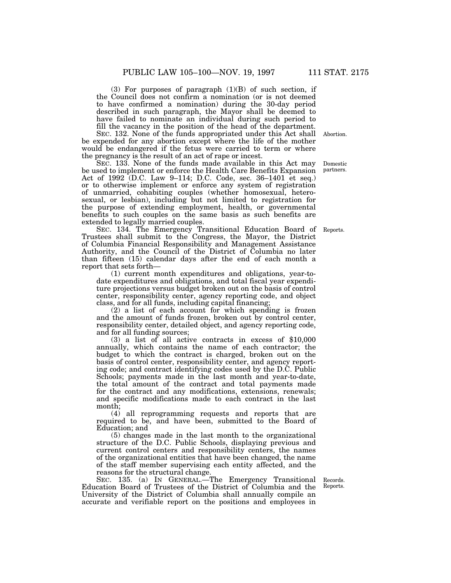(3) For purposes of paragraph (1)(B) of such section, if the Council does not confirm a nomination (or is not deemed to have confirmed a nomination) during the 30-day period described in such paragraph, the Mayor shall be deemed to have failed to nominate an individual during such period to fill the vacancy in the position of the head of the department.

SEC. 132. None of the funds appropriated under this Act shall Abortion.be expended for any abortion except where the life of the mother would be endangered if the fetus were carried to term or where the pregnancy is the result of an act of rape or incest.

SEC. 133. None of the funds made available in this Act may be used to implement or enforce the Health Care Benefits Expansion Act of 1992 (D.C. Law 9–114; D.C. Code, sec. 36–1401 et seq.) or to otherwise implement or enforce any system of registration of unmarried, cohabiting couples (whether homosexual, heterosexual, or lesbian), including but not limited to registration for the purpose of extending employment, health, or governmental benefits to such couples on the same basis as such benefits are extended to legally married couples.

SEC. 134. The Emergency Transitional Education Board of Trustees shall submit to the Congress, the Mayor, the District of Columbia Financial Responsibility and Management Assistance Authority, and the Council of the District of Columbia no later than fifteen (15) calendar days after the end of each month a report that sets forth—

(1) current month expenditures and obligations, year-todate expenditures and obligations, and total fiscal year expenditure projections versus budget broken out on the basis of control center, responsibility center, agency reporting code, and object class, and for all funds, including capital financing;

(2) a list of each account for which spending is frozen and the amount of funds frozen, broken out by control center, responsibility center, detailed object, and agency reporting code, and for all funding sources;

(3) a list of all active contracts in excess of \$10,000 annually, which contains the name of each contractor; the budget to which the contract is charged, broken out on the basis of control center, responsibility center, and agency reporting code; and contract identifying codes used by the D.C. Public Schools; payments made in the last month and year-to-date, the total amount of the contract and total payments made for the contract and any modifications, extensions, renewals; and specific modifications made to each contract in the last month;

(4) all reprogramming requests and reports that are required to be, and have been, submitted to the Board of Education; and

(5) changes made in the last month to the organizational structure of the D.C. Public Schools, displaying previous and current control centers and responsibility centers, the names of the organizational entities that have been changed, the name of the staff member supervising each entity affected, and the reasons for the structural change.

SEC. 135. (a) IN GENERAL.—The Emergency Transitional Education Board of Trustees of the District of Columbia and the University of the District of Columbia shall annually compile an accurate and verifiable report on the positions and employees in

Records. Reports.

partners.

Domestic

Reports.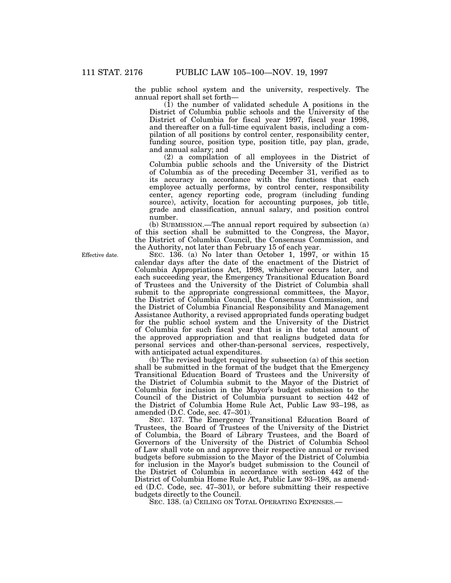the public school system and the university, respectively. The annual report shall set forth—

(1) the number of validated schedule A positions in the District of Columbia public schools and the University of the District of Columbia for fiscal year 1997, fiscal year 1998, and thereafter on a full-time equivalent basis, including a compilation of all positions by control center, responsibility center, funding source, position type, position title, pay plan, grade, and annual salary; and

(2) a compilation of all employees in the District of Columbia public schools and the University of the District of Columbia as of the preceding December 31, verified as to its accuracy in accordance with the functions that each employee actually performs, by control center, responsibility center, agency reporting code, program (including funding source), activity, location for accounting purposes, job title, grade and classification, annual salary, and position control number.

(b) SUBMISSION.—The annual report required by subsection (a) of this section shall be submitted to the Congress, the Mayor, the District of Columbia Council, the Consensus Commission, and the Authority, not later than February 15 of each year.

SEC. 136. (a) No later than October 1, 1997, or within 15 calendar days after the date of the enactment of the District of Columbia Appropriations Act, 1998, whichever occurs later, and each succeeding year, the Emergency Transitional Education Board of Trustees and the University of the District of Columbia shall submit to the appropriate congressional committees, the Mayor, the District of Columbia Council, the Consensus Commission, and the District of Columbia Financial Responsibility and Management Assistance Authority, a revised appropriated funds operating budget for the public school system and the University of the District of Columbia for such fiscal year that is in the total amount of the approved appropriation and that realigns budgeted data for personal services and other-than-personal services, respectively, with anticipated actual expenditures.

(b) The revised budget required by subsection (a) of this section shall be submitted in the format of the budget that the Emergency Transitional Education Board of Trustees and the University of the District of Columbia submit to the Mayor of the District of Columbia for inclusion in the Mayor's budget submission to the Council of the District of Columbia pursuant to section 442 of the District of Columbia Home Rule Act, Public Law 93–198, as amended (D.C. Code, sec. 47–301).

SEC. 137. The Emergency Transitional Education Board of Trustees, the Board of Trustees of the University of the District of Columbia, the Board of Library Trustees, and the Board of Governors of the University of the District of Columbia School of Law shall vote on and approve their respective annual or revised budgets before submission to the Mayor of the District of Columbia for inclusion in the Mayor's budget submission to the Council of the District of Columbia in accordance with section 442 of the District of Columbia Home Rule Act, Public Law 93–198, as amended (D.C. Code, sec. 47–301), or before submitting their respective budgets directly to the Council.

SEC. 138. (a) CEILING ON TOTAL OPERATING EXPENSES.—

Effective date.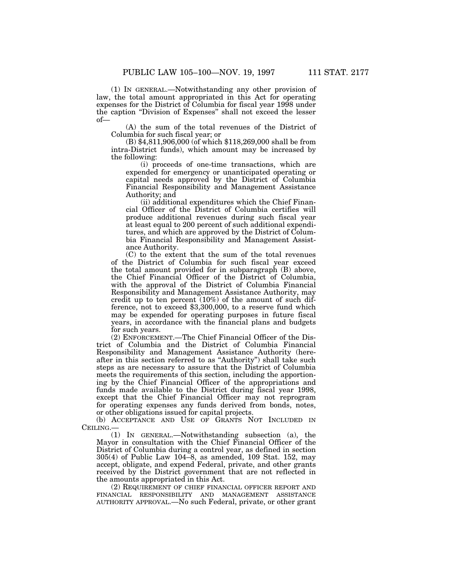(1) IN GENERAL.—Notwithstanding any other provision of law, the total amount appropriated in this Act for operating expenses for the District of Columbia for fiscal year 1998 under the caption "Division of Expenses" shall not exceed the lesser of—

(A) the sum of the total revenues of the District of Columbia for such fiscal year; or

(B) \$4,811,906,000 (of which \$118,269,000 shall be from intra-District funds), which amount may be increased by the following:

(i) proceeds of one-time transactions, which are expended for emergency or unanticipated operating or capital needs approved by the District of Columbia Financial Responsibility and Management Assistance Authority; and

(ii) additional expenditures which the Chief Financial Officer of the District of Columbia certifies will produce additional revenues during such fiscal year at least equal to 200 percent of such additional expenditures, and which are approved by the District of Columbia Financial Responsibility and Management Assistance Authority.

(C) to the extent that the sum of the total revenues of the District of Columbia for such fiscal year exceed the total amount provided for in subparagraph (B) above, the Chief Financial Officer of the District of Columbia, with the approval of the District of Columbia Financial Responsibility and Management Assistance Authority, may credit up to ten percent (10%) of the amount of such difference, not to exceed \$3,300,000, to a reserve fund which may be expended for operating purposes in future fiscal years, in accordance with the financial plans and budgets for such years.

(2) ENFORCEMENT.—The Chief Financial Officer of the District of Columbia and the District of Columbia Financial Responsibility and Management Assistance Authority (hereafter in this section referred to as ''Authority'') shall take such steps as are necessary to assure that the District of Columbia meets the requirements of this section, including the apportioning by the Chief Financial Officer of the appropriations and funds made available to the District during fiscal year 1998, except that the Chief Financial Officer may not reprogram for operating expenses any funds derived from bonds, notes, or other obligations issued for capital projects.

(b) ACCEPTANCE AND USE OF GRANTS NOT INCLUDED IN CEILING.—

(1) IN GENERAL.—Notwithstanding subsection (a), the Mayor in consultation with the Chief Financial Officer of the District of Columbia during a control year, as defined in section 305(4) of Public Law 104–8, as amended, 109 Stat. 152, may accept, obligate, and expend Federal, private, and other grants received by the District government that are not reflected in the amounts appropriated in this Act.

(2) REQUIREMENT OF CHIEF FINANCIAL OFFICER REPORT AND FINANCIAL RESPONSIBILITY AND MANAGEMENT ASSISTANCE AUTHORITY APPROVAL.—No such Federal, private, or other grant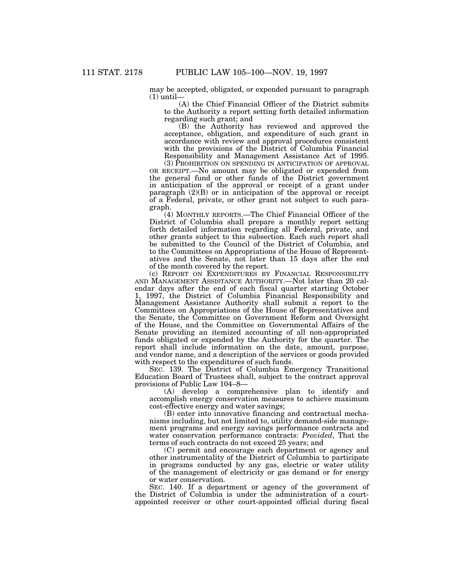may be accepted, obligated, or expended pursuant to paragraph  $(1)$  until-

(A) the Chief Financial Officer of the District submits to the Authority a report setting forth detailed information regarding such grant; and

(B) the Authority has reviewed and approved the acceptance, obligation, and expenditure of such grant in accordance with review and approval procedures consistent with the provisions of the District of Columbia Financial Responsibility and Management Assistance Act of 1995.

(3) PROHIBITION ON SPENDING IN ANTICIPATION OF APPROVAL OR RECEIPT.—No amount may be obligated or expended from the general fund or other funds of the District government in anticipation of the approval or receipt of a grant under paragraph  $(2)(B)$  or in anticipation of the approval or receipt of a Federal, private, or other grant not subject to such paragraph.

(4) MONTHLY REPORTS.—The Chief Financial Officer of the District of Columbia shall prepare a monthly report setting forth detailed information regarding all Federal, private, and other grants subject to this subsection. Each such report shall be submitted to the Council of the District of Columbia, and to the Committees on Appropriations of the House of Representatives and the Senate, not later than 15 days after the end of the month covered by the report.

(c) REPORT ON EXPENDITURES BY FINANCIAL RESPONSIBILITY AND MANAGEMENT ASSISTANCE AUTHORITY.—Not later than 20 calendar days after the end of each fiscal quarter starting October 1, 1997, the District of Columbia Financial Responsibility and Management Assistance Authority shall submit a report to the Committees on Appropriations of the House of Representatives and the Senate, the Committee on Government Reform and Oversight of the House, and the Committee on Governmental Affairs of the Senate providing an itemized accounting of all non-appropriated funds obligated or expended by the Authority for the quarter. The report shall include information on the date, amount, purpose, and vendor name, and a description of the services or goods provided with respect to the expenditures of such funds.

SEC. 139. The District of Columbia Emergency Transitional Education Board of Trustees shall, subject to the contract approval provisions of Public Law 104–8—

(A) develop a comprehensive plan to identify and accomplish energy conservation measures to achieve maximum cost-effective energy and water savings;

(B) enter into innovative financing and contractual mechanisms including, but not limited to, utility demand-side management programs and energy savings performance contracts and water conservation performance contracts: *Provided*, That the terms of such contracts do not exceed 25 years; and

(C) permit and encourage each department or agency and other instrumentality of the District of Columbia to participate in programs conducted by any gas, electric or water utility of the management of electricity or gas demand or for energy or water conservation.

SEC. 140. If a department or agency of the government of the District of Columbia is under the administration of a courtappointed receiver or other court-appointed official during fiscal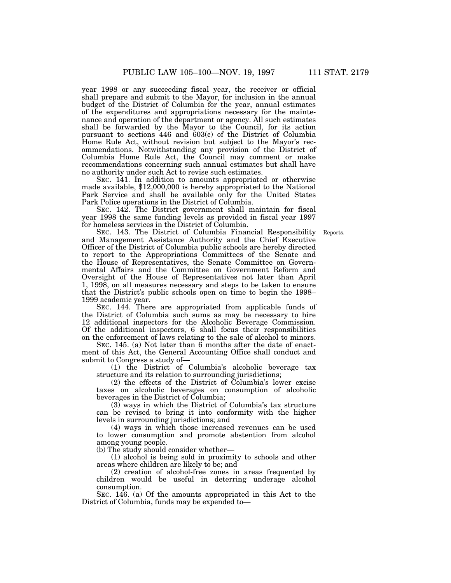year 1998 or any succeeding fiscal year, the receiver or official shall prepare and submit to the Mayor, for inclusion in the annual budget of the District of Columbia for the year, annual estimates of the expenditures and appropriations necessary for the maintenance and operation of the department or agency. All such estimates shall be forwarded by the Mayor to the Council, for its action pursuant to sections 446 and 603(c) of the District of Columbia Home Rule Act, without revision but subject to the Mayor's recommendations. Notwithstanding any provision of the District of Columbia Home Rule Act, the Council may comment or make recommendations concerning such annual estimates but shall have no authority under such Act to revise such estimates.

SEC. 141. In addition to amounts appropriated or otherwise made available, \$12,000,000 is hereby appropriated to the National Park Service and shall be available only for the United States Park Police operations in the District of Columbia.

SEC. 142. The District government shall maintain for fiscal year 1998 the same funding levels as provided in fiscal year 1997 for homeless services in the District of Columbia.

Reports.

SEC. 143. The District of Columbia Financial Responsibility and Management Assistance Authority and the Chief Executive Officer of the District of Columbia public schools are hereby directed to report to the Appropriations Committees of the Senate and the House of Representatives, the Senate Committee on Governmental Affairs and the Committee on Government Reform and Oversight of the House of Representatives not later than April 1, 1998, on all measures necessary and steps to be taken to ensure that the District's public schools open on time to begin the 1998– 1999 academic year.

SEC. 144. There are appropriated from applicable funds of the District of Columbia such sums as may be necessary to hire 12 additional inspectors for the Alcoholic Beverage Commission. Of the additional inspectors, 6 shall focus their responsibilities on the enforcement of laws relating to the sale of alcohol to minors.

SEC. 145. (a) Not later than 6 months after the date of enactment of this Act, the General Accounting Office shall conduct and submit to Congress a study of—

(1) the District of Columbia's alcoholic beverage tax structure and its relation to surrounding jurisdictions;

(2) the effects of the District of Columbia's lower excise taxes on alcoholic beverages on consumption of alcoholic beverages in the District of Columbia;

(3) ways in which the District of Columbia's tax structure can be revised to bring it into conformity with the higher levels in surrounding jurisdictions; and

(4) ways in which those increased revenues can be used to lower consumption and promote abstention from alcohol among young people.

(b) The study should consider whether—

(1) alcohol is being sold in proximity to schools and other areas where children are likely to be; and

(2) creation of alcohol-free zones in areas frequented by children would be useful in deterring underage alcohol consumption.

SEC. 146. (a) Of the amounts appropriated in this Act to the District of Columbia, funds may be expended to—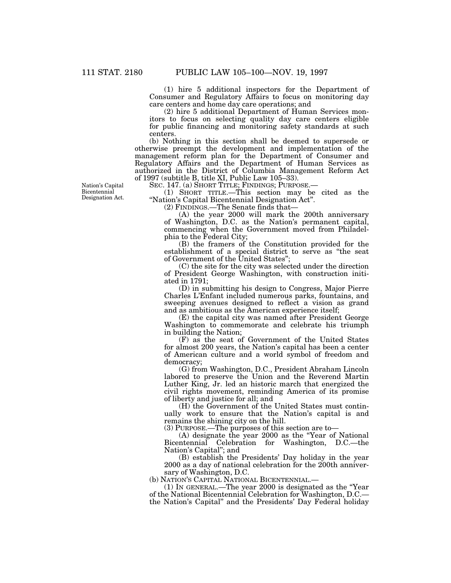(1) hire 5 additional inspectors for the Department of Consumer and Regulatory Affairs to focus on monitoring day care centers and home day care operations; and

(2) hire 5 additional Department of Human Services monitors to focus on selecting quality day care centers eligible for public financing and monitoring safety standards at such centers.

(b) Nothing in this section shall be deemed to supersede or otherwise preempt the development and implementation of the management reform plan for the Department of Consumer and Regulatory Affairs and the Department of Human Services as authorized in the District of Columbia Management Reform Act of 1997 (subtitle B, title XI, Public Law 105–33).

SEC. 147. (a) SHORT TITLE; FINDINGS; PURPOSE.—

(1) SHORT TITLE.—This section may be cited as the ''Nation's Capital Bicentennial Designation Act''.

(2) FINDINGS.—The Senate finds that—

(A) the year 2000 will mark the 200th anniversary of Washington, D.C. as the Nation's permanent capital, commencing when the Government moved from Philadelphia to the Federal City;

(B) the framers of the Constitution provided for the establishment of a special district to serve as ''the seat of Government of the United States'';

(C) the site for the city was selected under the direction of President George Washington, with construction initiated in 1791;

(D) in submitting his design to Congress, Major Pierre Charles L'Enfant included numerous parks, fountains, and sweeping avenues designed to reflect a vision as grand and as ambitious as the American experience itself;

(E) the capital city was named after President George Washington to commemorate and celebrate his triumph in building the Nation;

(F) as the seat of Government of the United States for almost 200 years, the Nation's capital has been a center of American culture and a world symbol of freedom and democracy;

(G) from Washington, D.C., President Abraham Lincoln labored to preserve the Union and the Reverend Martin Luther King, Jr. led an historic march that energized the civil rights movement, reminding America of its promise of liberty and justice for all; and

(H) the Government of the United States must continually work to ensure that the Nation's capital is and remains the shining city on the hill.

(3) PURPOSE.—The purposes of this section are to—

(A) designate the year 2000 as the ''Year of National Bicentennial Celebration for Washington, D.C.—the Nation's Capital''; and

(B) establish the Presidents' Day holiday in the year 2000 as a day of national celebration for the 200th anniversary of Washington, D.C.

(b) NATION'S CAPITAL NATIONAL BICENTENNIAL.—

(1) IN GENERAL.—The year 2000 is designated as the ''Year of the National Bicentennial Celebration for Washington, D.C. the Nation's Capital'' and the Presidents' Day Federal holiday

Nation's Capital Bicentennial Designation Act.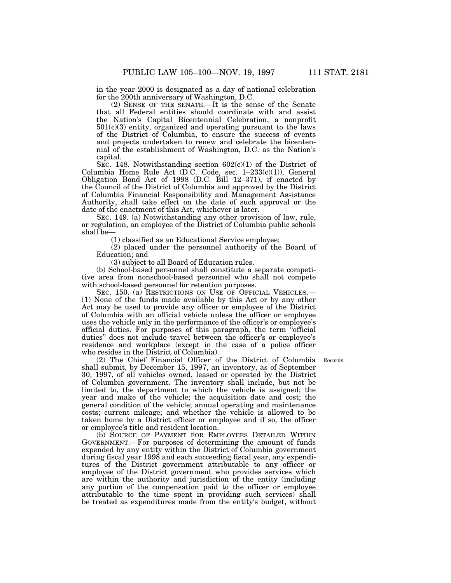in the year 2000 is designated as a day of national celebration for the 200th anniversary of Washington, D.C.

(2) SENSE OF THE SENATE.—It is the sense of the Senate that all Federal entities should coordinate with and assist the Nation's Capital Bicentennial Celebration, a nonprofit  $501(c)(3)$  entity, organized and operating pursuant to the laws of the District of Columbia, to ensure the success of events and projects undertaken to renew and celebrate the bicentennial of the establishment of Washington, D.C. as the Nation's capital.

SEC. 148. Notwithstanding section  $602(c)(1)$  of the District of Columbia Home Rule Act (D.C. Code, sec. 1–233(c)(1)), General Obligation Bond Act of 1998 (D.C. Bill 12–371), if enacted by the Council of the District of Columbia and approved by the District of Columbia Financial Responsibility and Management Assistance Authority, shall take effect on the date of such approval or the date of the enactment of this Act, whichever is later.

SEC. 149. (a) Notwithstanding any other provision of law, rule, or regulation, an employee of the District of Columbia public schools shall be—

(1) classified as an Educational Service employee;

(2) placed under the personnel authority of the Board of Education; and

(3) subject to all Board of Education rules.

(b) School-based personnel shall constitute a separate competitive area from nonschool-based personnel who shall not compete with school-based personnel for retention purposes.

SEC. 150. (a) RESTRICTIONS ON USE OF OFFICIAL VEHICLES.— (1) None of the funds made available by this Act or by any other Act may be used to provide any officer or employee of the District of Columbia with an official vehicle unless the officer or employee uses the vehicle only in the performance of the officer's or employee's official duties. For purposes of this paragraph, the term ''official duties'' does not include travel between the officer's or employee's residence and workplace (except in the case of a police officer who resides in the District of Columbia).

(2) The Chief Financial Officer of the District of Columbia Records.shall submit, by December 15, 1997, an inventory, as of September 30, 1997, of all vehicles owned, leased or operated by the District of Columbia government. The inventory shall include, but not be limited to, the department to which the vehicle is assigned; the year and make of the vehicle; the acquisition date and cost; the general condition of the vehicle; annual operating and maintenance costs; current mileage; and whether the vehicle is allowed to be taken home by a District officer or employee and if so, the officer or employee's title and resident location.

(b) SOURCE OF PAYMENT FOR EMPLOYEES DETAILED WITHIN GOVERNMENT.—For purposes of determining the amount of funds expended by any entity within the District of Columbia government during fiscal year 1998 and each succeeding fiscal year, any expenditures of the District government attributable to any officer or employee of the District government who provides services which are within the authority and jurisdiction of the entity (including any portion of the compensation paid to the officer or employee attributable to the time spent in providing such services) shall be treated as expenditures made from the entity's budget, without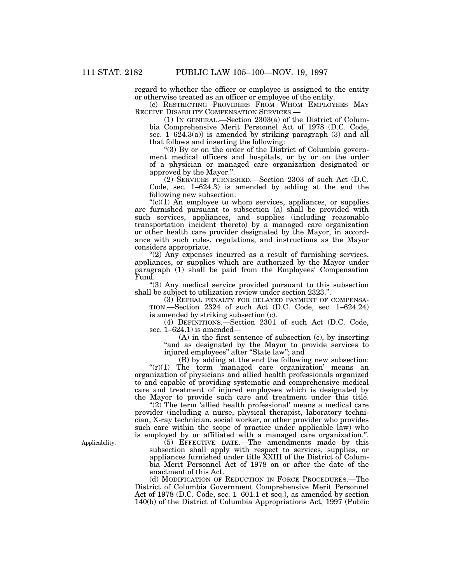regard to whether the officer or employee is assigned to the entity or otherwise treated as an officer or employee of the entity.

(c) RESTRICTING PROVIDERS FROM WHOM EMPLOYEES MAY RECEIVE DISABILITY COMPENSATION SERVICES.—

(1) IN GENERAL.—Section 2303(a) of the District of Columbia Comprehensive Merit Personnel Act of 1978 (D.C. Code, sec.  $1-624.3(a)$  is amended by striking paragraph (3) and all that follows and inserting the following:

"(3) By or on the order of the District of Columbia government medical officers and hospitals, or by or on the order of a physician or managed care organization designated or approved by the Mayor.''.

(2) SERVICES FURNISHED.—Section 2303 of such Act (D.C. Code, sec. 1–624.3) is amended by adding at the end the following new subsection:

 $C'(c)(1)$  An employee to whom services, appliances, or supplies are furnished pursuant to subsection (a) shall be provided with such services, appliances, and supplies (including reasonable transportation incident thereto) by a managed care organization or other health care provider designated by the Mayor, in accordance with such rules, regulations, and instructions as the Mayor considers appropriate.

" $(2)$  Any expenses incurred as a result of furnishing services, appliances, or supplies which are authorized by the Mayor under paragraph (1) shall be paid from the Employees' Compensation Fund.

''(3) Any medical service provided pursuant to this subsection shall be subject to utilization review under section 2323.''.

(3) REPEAL PENALTY FOR DELAYED PAYMENT OF COMPENSA-TION.—Section 2324 of such Act (D.C. Code, sec. 1–624.24) is amended by striking subsection (c).

(4) DEFINITIONS.—Section 2301 of such Act (D.C. Code, sec. 1–624.1) is amended—

(A) in the first sentence of subsection (c), by inserting "and as designated by the Mayor to provide services to injured employees'' after ''State law''; and

(B) by adding at the end the following new subsection:

" $(r)(1)$  The term 'managed care organization' means an organization of physicians and allied health professionals organized to and capable of providing systematic and comprehensive medical care and treatment of injured employees which is designated by the Mayor to provide such care and treatment under this title.

" $(2)$  The term 'allied health professional' means a medical care provider (including a nurse, physical therapist, laboratory technician, X-ray technician, social worker, or other provider who provides such care within the scope of practice under applicable law) who is employed by or affiliated with a managed care organization.''.

(5) EFFECTIVE DATE.—The amendments made by this subsection shall apply with respect to services, supplies, or appliances furnished under title XXIII of the District of Columbia Merit Personnel Act of 1978 on or after the date of the enactment of this Act.

(d) MODIFICATION OF REDUCTION IN FORCE PROCEDURES.—The District of Columbia Government Comprehensive Merit Personnel Act of 1978 (D.C. Code, sec. 1–601.1 et seq.), as amended by section 140(b) of the District of Columbia Appropriations Act, 1997 (Public

Applicability.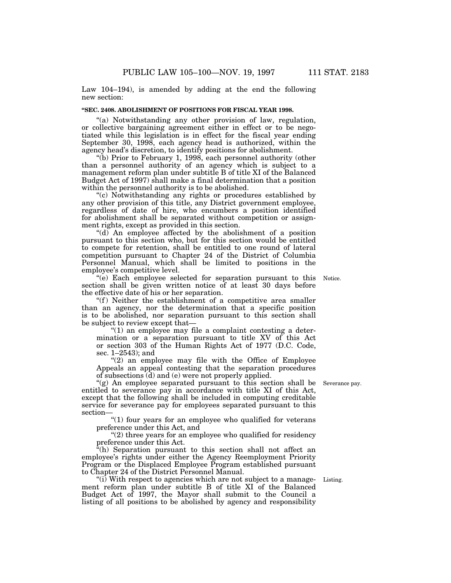Law 104–194), is amended by adding at the end the following new section:

# **''SEC. 2408. ABOLISHMENT OF POSITIONS FOR FISCAL YEAR 1998.**

"(a) Notwithstanding any other provision of law, regulation, or collective bargaining agreement either in effect or to be negotiated while this legislation is in effect for the fiscal year ending September 30, 1998, each agency head is authorized, within the agency head's discretion, to identify positions for abolishment.

"(b) Prior to February 1, 1998, each personnel authority (other than a personnel authority of an agency which is subject to a management reform plan under subtitle B of title XI of the Balanced Budget Act of 1997) shall make a final determination that a position within the personnel authority is to be abolished.

''(c) Notwithstanding any rights or procedures established by any other provision of this title, any District government employee, regardless of date of hire, who encumbers a position identified for abolishment shall be separated without competition or assignment rights, except as provided in this section.

''(d) An employee affected by the abolishment of a position pursuant to this section who, but for this section would be entitled to compete for retention, shall be entitled to one round of lateral competition pursuant to Chapter 24 of the District of Columbia Personnel Manual, which shall be limited to positions in the employee's competitive level.

''(e) Each employee selected for separation pursuant to this section shall be given written notice of at least 30 days before the effective date of his or her separation.

"(f) Neither the establishment of a competitive area smaller than an agency, nor the determination that a specific position is to be abolished, nor separation pursuant to this section shall be subject to review except that—

" $(1)$  an employee may file a complaint contesting a determination or a separation pursuant to title XV of this Act or section 303 of the Human Rights Act of 1977 (D.C. Code, sec. 1–2543); and

"(2) an employee may file with the Office of Employee Appeals an appeal contesting that the separation procedures of subsections (d) and (e) were not properly applied.

''(g) An employee separated pursuant to this section shall be entitled to severance pay in accordance with title XI of this Act, except that the following shall be included in computing creditable service for severance pay for employees separated pursuant to this section—

"(1) four years for an employee who qualified for veterans preference under this Act, and

"(2) three years for an employee who qualified for residency preference under this Act.

"(h) Separation pursuant to this section shall not affect an employee's rights under either the Agency Reemployment Priority Program or the Displaced Employee Program established pursuant to Chapter 24 of the District Personnel Manual.

 $(ii)$  With respect to agencies which are not subject to a management reform plan under subtitle B of title XI of the Balanced Budget Act of 1997, the Mayor shall submit to the Council a listing of all positions to be abolished by agency and responsibility

Listing.

Severance pay.

Notice.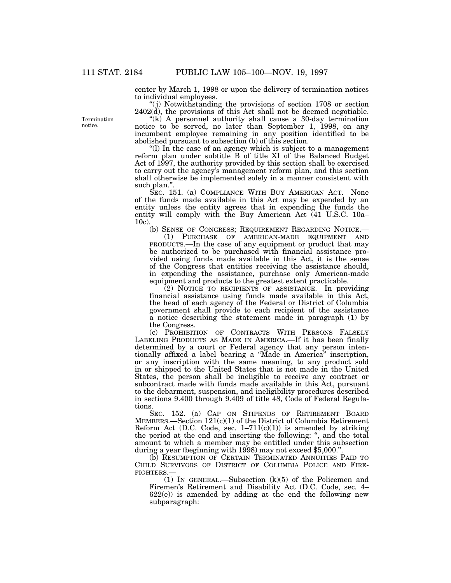center by March 1, 1998 or upon the delivery of termination notices to individual employees.

''( j) Notwithstanding the provisions of section 1708 or section 2402(d), the provisions of this Act shall not be deemed negotiable.

"(k) A personnel authority shall cause a 30-day termination notice to be served, no later than September 1, 1998, on any incumbent employee remaining in any position identified to be abolished pursuant to subsection (b) of this section.

''(l) In the case of an agency which is subject to a management reform plan under subtitle B of title XI of the Balanced Budget Act of 1997, the authority provided by this section shall be exercised to carry out the agency's management reform plan, and this section shall otherwise be implemented solely in a manner consistent with such plan."

SEC. 151. (a) COMPLIANCE WITH BUY AMERICAN ACT.—None of the funds made available in this Act may be expended by an entity unless the entity agrees that in expending the funds the entity will comply with the Buy American Act (41 U.S.C. 10a– 10c).

(b) SENSE OF CONGRESS; REQUIREMENT REGARDING NOTICE.—

(1) PURCHASE OF AMERICAN-MADE EQUIPMENT AND PRODUCTS.—In the case of any equipment or product that may be authorized to be purchased with financial assistance provided using funds made available in this Act, it is the sense of the Congress that entities receiving the assistance should, in expending the assistance, purchase only American-made equipment and products to the greatest extent practicable.

(2) NOTICE TO RECIPIENTS OF ASSISTANCE.—In providing financial assistance using funds made available in this Act, the head of each agency of the Federal or District of Columbia government shall provide to each recipient of the assistance a notice describing the statement made in paragraph (1) by the Congress.

(c) PROHIBITION OF CONTRACTS WITH PERSONS FALSELY LABELING PRODUCTS AS MADE IN AMERICA.—If it has been finally determined by a court or Federal agency that any person intentionally affixed a label bearing a ''Made in America'' inscription, or any inscription with the same meaning, to any product sold in or shipped to the United States that is not made in the United States, the person shall be ineligible to receive any contract or subcontract made with funds made available in this Act, pursuant to the debarment, suspension, and ineligibility procedures described in sections 9.400 through 9.409 of title 48, Code of Federal Regulations.

SEC. 152. (a) CAP ON STIPENDS OF RETIREMENT BOARD MEMBERS.—Section 121(c)(1) of the District of Columbia Retirement Reform Act (D.C. Code, sec.  $1-711(c)(1)$ ) is amended by striking the period at the end and inserting the following: '', and the total amount to which a member may be entitled under this subsection during a year (beginning with 1998) may not exceed \$5,000.

(b) RESUMPTION OF CERTAIN TERMINATED ANNUITIES PAID TO CHILD SURVIVORS OF DISTRICT OF COLUMBIA POLICE AND FIRE-FIGHTERS.—

(1) IN GENERAL.—Subsection (k)(5) of the Policemen and Firemen's Retirement and Disability Act (D.C. Code, sec. 4–  $622(e)$  is amended by adding at the end the following new subparagraph:

Termination notice.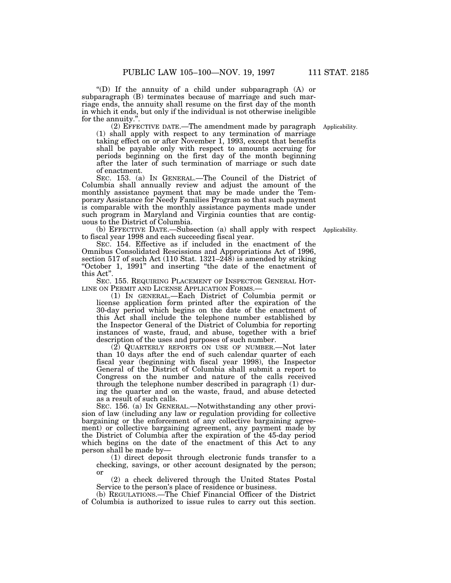''(D) If the annuity of a child under subparagraph (A) or subparagraph (B) terminates because of marriage and such marriage ends, the annuity shall resume on the first day of the month in which it ends, but only if the individual is not otherwise ineligible for the annuity."

(2) EFFECTIVE DATE.—The amendment made by paragraph Applicability.(1) shall apply with respect to any termination of marriage taking effect on or after November 1, 1993, except that benefits shall be payable only with respect to amounts accruing for periods beginning on the first day of the month beginning after the later of such termination of marriage or such date of enactment.

SEC. 153. (a) IN GENERAL.—The Council of the District of Columbia shall annually review and adjust the amount of the monthly assistance payment that may be made under the Temporary Assistance for Needy Families Program so that such payment is comparable with the monthly assistance payments made under such program in Maryland and Virginia counties that are contiguous to the District of Columbia.

(b) EFFECTIVE DATE.—Subsection (a) shall apply with respect Applicability. to fiscal year 1998 and each succeeding fiscal year.

SEC. 154. Effective as if included in the enactment of the Omnibus Consolidated Rescissions and Appropriations Act of 1996, section 517 of such Act (110 Stat. 1321–248) is amended by striking "October 1, 1991" and inserting "the date of the enactment of this Act''.

SEC. 155. REQUIRING PLACEMENT OF INSPECTOR GENERAL HOT-LINE ON PERMIT AND LICENSE APPLICATION FORMS.—

(1) IN GENERAL.—Each District of Columbia permit or license application form printed after the expiration of the 30-day period which begins on the date of the enactment of this Act shall include the telephone number established by the Inspector General of the District of Columbia for reporting instances of waste, fraud, and abuse, together with a brief description of the uses and purposes of such number.

(2) QUARTERLY REPORTS ON USE OF NUMBER.—Not later than 10 days after the end of such calendar quarter of each fiscal year (beginning with fiscal year 1998), the Inspector General of the District of Columbia shall submit a report to Congress on the number and nature of the calls received through the telephone number described in paragraph (1) during the quarter and on the waste, fraud, and abuse detected as a result of such calls.

SEC. 156. (a) IN GENERAL.—Notwithstanding any other provision of law (including any law or regulation providing for collective bargaining or the enforcement of any collective bargaining agreement) or collective bargaining agreement, any payment made by the District of Columbia after the expiration of the 45-day period which begins on the date of the enactment of this Act to any person shall be made by—

(1) direct deposit through electronic funds transfer to a checking, savings, or other account designated by the person; or

(2) a check delivered through the United States Postal Service to the person's place of residence or business.

(b) REGULATIONS.—The Chief Financial Officer of the District of Columbia is authorized to issue rules to carry out this section.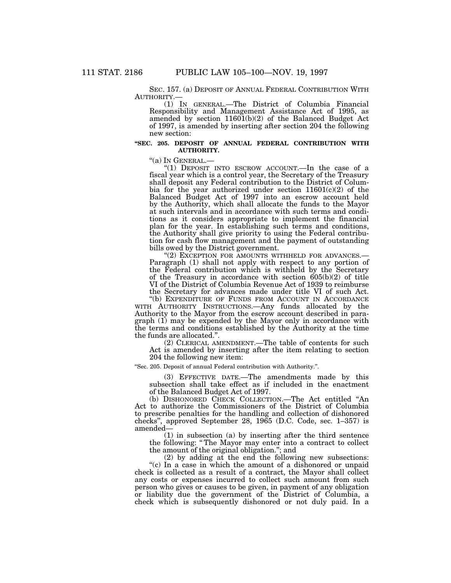SEC. 157. (a) DEPOSIT OF ANNUAL FEDERAL CONTRIBUTION WITH AUTHORITY.—

(1) In GENERAL.—The District of Columbia Financial Responsibility and Management Assistance Act of 1995, as amended by section 11601(b)(2) of the Balanced Budget Act of 1997, is amended by inserting after section 204 the following new section:

#### **''SEC. 205. DEPOSIT OF ANNUAL FEDERAL CONTRIBUTION WITH AUTHORITY.**

''(a) IN GENERAL.— ''(1) DEPOSIT INTO ESCROW ACCOUNT.—In the case of a fiscal year which is a control year, the Secretary of the Treasury shall deposit any Federal contribution to the District of Columbia for the year authorized under section  $11601(c)(2)$  of the Balanced Budget Act of 1997 into an escrow account held by the Authority, which shall allocate the funds to the Mayor at such intervals and in accordance with such terms and conditions as it considers appropriate to implement the financial plan for the year. In establishing such terms and conditions, the Authority shall give priority to using the Federal contribution for cash flow management and the payment of outstanding bills owed by the District government.<br>"(2) Exception for amounts with the LD for advances.-

Paragraph (1) shall not apply with respect to any portion of the Federal contribution which is withheld by the Secretary of the Treasury in accordance with section  $605(b)(2)$  of title VI of the District of Columbia Revenue Act of 1939 to reimburse the Secretary for advances made under title VI of such Act.

"(b) EXPENDITURE OF FUNDS FROM ACCOUNT IN ACCORDANCE WITH AUTHORITY INSTRUCTIONS.—Any funds allocated by the Authority to the Mayor from the escrow account described in paragraph (1) may be expended by the Mayor only in accordance with the terms and conditions established by the Authority at the time the funds are allocated.''.

(2) CLERICAL AMENDMENT.—The table of contents for such Act is amended by inserting after the item relating to section 204 the following new item:

''Sec. 205. Deposit of annual Federal contribution with Authority.''.

(3) EFFECTIVE DATE.—The amendments made by this subsection shall take effect as if included in the enactment of the Balanced Budget Act of 1997.

(b) DISHONORED CHECK COLLECTION.—The Act entitled ''An Act to authorize the Commissioners of the District of Columbia to prescribe penalties for the handling and collection of dishonored checks'', approved September 28, 1965 (D.C. Code, sec. 1–357) is amended—

(1) in subsection (a) by inserting after the third sentence the following: '' The Mayor may enter into a contract to collect the amount of the original obligation.''; and

(2) by adding at the end the following new subsections: "(c) In a case in which the amount of a dishonored or unpaid check is collected as a result of a contract, the Mayor shall collect any costs or expenses incurred to collect such amount from such person who gives or causes to be given, in payment of any obligation or liability due the government of the District of Columbia, a check which is subsequently dishonored or not duly paid. In a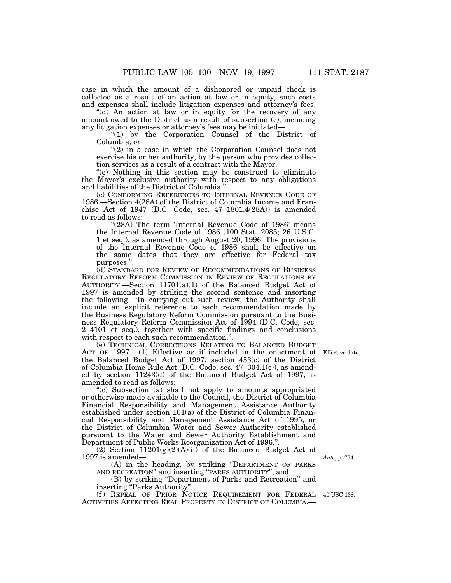case in which the amount of a dishonored or unpaid check is collected as a result of an action at law or in equity, such costs and expenses shall include litigation expenses and attorney's fees.

 $(d)$  An action at law or in equity for the recovery of any amount owed to the District as a result of subsection (c), including any litigation expenses or attorney's fees may be initiated—

''(1) by the Corporation Counsel of the District of Columbia; or

 $''(2)$  in a case in which the Corporation Counsel does not exercise his or her authority, by the person who provides collection services as a result of a contract with the Mayor.

''(e) Nothing in this section may be construed to eliminate the Mayor's exclusive authority with respect to any obligations and liabilities of the District of Columbia.''.

(c) CONFORMING REFERENCES TO INTERNAL REVENUE CODE OF 1986.—Section 4(28A) of the District of Columbia Income and Franchise Act of 1947 (D.C. Code, sec. 47–1801.4(28A)) is amended to read as follows:

"(28A) The term 'Internal Revenue Code of 1986' means the Internal Revenue Code of 1986 (100 Stat. 2085; 26 U.S.C. 1 et seq.), as amended through August 20, 1996. The provisions of the Internal Revenue Code of 1986 shall be effective on the same dates that they are effective for Federal tax purposes.''.

(d) STANDARD FOR REVIEW OF RECOMMENDATIONS OF BUSINESS REGULATORY REFORM COMMISSION IN REVIEW OF REGULATIONS BY AUTHORITY.—Section 11701(a)(1) of the Balanced Budget Act of 1997 is amended by striking the second sentence and inserting the following: ''In carrying out such review, the Authority shall include an explicit reference to each recommendation made by the Business Regulatory Reform Commission pursuant to the Business Regulatory Reform Commission Act of 1994 (D.C. Code, sec. 2–4101 et seq.), together with specific findings and conclusions with respect to each such recommendation."

(e) TECHNICAL CORRECTIONS RELATING TO BALANCED BUDGET ACT OF 1997.—(1) Effective as if included in the enactment of Effective date.the Balanced Budget Act of 1997, section 453(c) of the District of Columbia Home Rule Act (D.C. Code, sec. 47–304.1(c)), as amended by section 11243(d) of the Balanced Budget Act of 1997, is amended to read as follows:

''(c) Subsection (a) shall not apply to amounts appropriated or otherwise made available to the Council, the District of Columbia Financial Responsibility and Management Assistance Authority established under section 101(a) of the District of Columbia Financial Responsibility and Management Assistance Act of 1995, or the District of Columbia Water and Sewer Authority established pursuant to the Water and Sewer Authority Establishment and Department of Public Works Reorganization Act of 1996.''.

(2) Section  $11201(g)(2)(A)(ii)$  of the Balanced Budget Act of 1997 is amended—

(A) in the heading, by striking ''DEPARTMENT OF PARKS AND RECREATION'' and inserting ''PARKS AUTHORITY''; and

(B) by striking ''Department of Parks and Recreation'' and inserting ''Parks Authority''.

(f) REPEAL OF PRIOR NOTICE REQUIREMENT FOR FEDERAL 40 USC 138. ACTIVITIES AFFECTING REAL PROPERTY IN DISTRICT OF COLUMBIA.—

*Ante*, p. 734.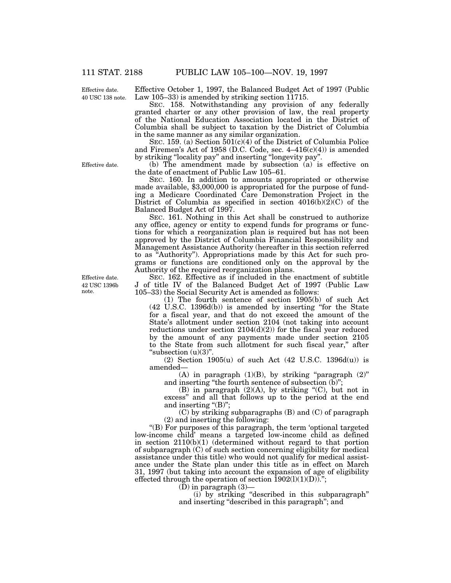40 USC 138 note. Effective date.

Effective October 1, 1997, the Balanced Budget Act of 1997 (Public Law 105–33) is amended by striking section 11715.

SEC. 158. Notwithstanding any provision of any federally granted charter or any other provision of law, the real property of the National Education Association located in the District of Columbia shall be subject to taxation by the District of Columbia in the same manner as any similar organization.

SEC. 159. (a) Section  $501(c)(4)$  of the District of Columbia Police and Firemen's Act of 1958 (D.C. Code, sec.  $4-416(c)(4)$ ) is amended by striking ''locality pay'' and inserting ''longevity pay''.

(b) The amendment made by subsection (a) is effective on the date of enactment of Public Law 105–61.

SEC. 160. In addition to amounts appropriated or otherwise made available, \$3,000,000 is appropriated for the purpose of funding a Medicare Coordinated Care Demonstration Project in the District of Columbia as specified in section  $4016(b)(2)(C)$  of the Balanced Budget Act of 1997.

SEC. 161. Nothing in this Act shall be construed to authorize any office, agency or entity to expend funds for programs or functions for which a reorganization plan is required but has not been approved by the District of Columbia Financial Responsibility and Management Assistance Authority (hereafter in this section referred to as ''Authority''). Appropriations made by this Act for such programs or functions are conditioned only on the approval by the Authority of the required reorganization plans.

SEC. 162. Effective as if included in the enactment of subtitle J of title IV of the Balanced Budget Act of 1997 (Public Law 105–33) the Social Security Act is amended as follows:

(1) The fourth sentence of section 1905(b) of such Act (42 U.S.C. 1396d(b)) is amended by inserting ''for the State for a fiscal year, and that do not exceed the amount of the State's allotment under section 2104 (not taking into account reductions under section  $2104(d)(2)$  for the fiscal year reduced by the amount of any payments made under section 2105 to the State from such allotment for such fiscal year,'' after "subsection  $(u)(3)$ ".

(2) Section  $1905(u)$  of such Act (42 U.S.C. 1396d(u)) is amended—

(A) in paragraph  $(1)(B)$ , by striking "paragraph  $(2)$ " and inserting "the fourth sentence of subsection (b)";

(B) in paragraph  $(2)(A)$ , by striking " $(C)$ , but not in excess'' and all that follows up to the period at the end and inserting " $(B)$ ";

(C) by striking subparagraphs (B) and (C) of paragraph (2) and inserting the following:

''(B) For purposes of this paragraph, the term 'optional targeted low-income child' means a targeted low-income child as defined in section 2110(b)(1) (determined without regard to that portion of subparagraph (C) of such section concerning eligibility for medical assistance under this title) who would not qualify for medical assistance under the State plan under this title as in effect on March 31, 1997 (but taking into account the expansion of age of eligibility effected through the operation of section  $1902(1)(1)(D)$ .";

 $(D)$  in paragraph  $(3)$ —

(i) by striking ''described in this subparagraph'' and inserting ''described in this paragraph''; and

Effective date.

42 USC 1396b note. Effective date.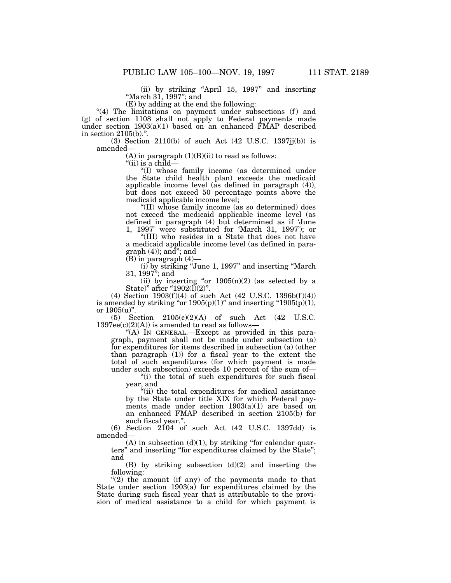(ii) by striking ''April 15, 1997'' and inserting ''March 31, 1997''; and

(E) by adding at the end the following:

"(4) The limitations on payment under subsections (f) and (g) of section 1108 shall not apply to Federal payments made under section  $1903(a)(1)$  based on an enhanced FMAP described in section 2105(b).''.

(3) Section 2110(b) of such Act  $(42 \text{ U.S.C. } 1397 \text{jj(b)})$  is amended—

 $(A)$  in paragraph  $(1)(B)(ii)$  to read as follows:

''(ii) is a child—

''(I) whose family income (as determined under the State child health plan) exceeds the medicaid applicable income level (as defined in paragraph (4)), but does not exceed 50 percentage points above the medicaid applicable income level;

''(II) whose family income (as so determined) does not exceed the medicaid applicable income level (as defined in paragraph (4) but determined as if 'June 1, 1997' were substituted for 'March 31, 1997'); or

''(III) who resides in a State that does not have a medicaid applicable income level (as defined in para $graph (4)$ ;  $and$ "; and

 $(B)$  in paragraph  $(4)$ —

(i) by striking ''June 1, 1997'' and inserting ''March 31, 1997''; and

(ii) by inserting "or  $1905(n)(2)$  (as selected by a State)" after " $1902(\tilde{I})(2)$ ".

(4) Section  $1903(f)(4)$  of such Act (42 U.S.C.  $1396b(f)(4)$ ) is amended by striking "or  $1905(p)(1)$ " and inserting " $1905(p)(1)$ , or  $1905(u)$ ".

(5) Section 2105(c)(2)(A) of such Act (42 U.S.C.  $1397ee(c)(2)(A))$  is amended to read as follows-

"(A) IN GENERAL.—Except as provided in this paragraph, payment shall not be made under subsection (a) for expenditures for items described in subsection (a) (other than paragraph (1)) for a fiscal year to the extent the total of such expenditures (for which payment is made under such subsection) exceeds 10 percent of the sum of—

''(i) the total of such expenditures for such fiscal year, and

"(ii) the total expenditures for medical assistance by the State under title XIX for which Federal payments made under section 1903(a)(1) are based on an enhanced FMAP described in section 2105(b) for such fiscal year.''.

(6) Section 2104 of such Act (42 U.S.C. 1397dd) is amended—

 $(A)$  in subsection  $(d)(1)$ , by striking "for calendar quarters'' and inserting ''for expenditures claimed by the State''; and

(B) by striking subsection (d)(2) and inserting the following:

"(2) the amount (if any) of the payments made to that State under section 1903(a) for expenditures claimed by the State during such fiscal year that is attributable to the provision of medical assistance to a child for which payment is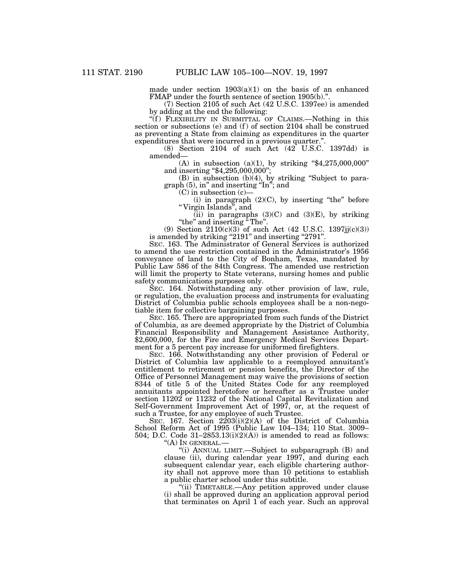made under section  $1903(a)(1)$  on the basis of an enhanced FMAP under the fourth sentence of section 1905(b)."

(7) Section 2105 of such Act (42 U.S.C. 1397ee) is amended by adding at the end the following:

"(f) FLEXIBILITY IN SUBMITTAL OF CLAIMS.—Nothing in this section or subsections (e) and (f) of section 2104 shall be construed as preventing a State from claiming as expenditures in the quarter expenditures that were incurred in a previous quarter.''.

(8) Section 2104 of such Act (42 U.S.C. 1397dd) is amended—

(A) in subsection (a)(1), by striking " $$4,275,000,000"$ " and inserting "\$4,295,000,000";

(B) in subsection (b)(4), by striking ''Subject to paragraph (5), in'' and inserting ''In''; and

 $(C)$  in subsection  $(c)$ –

(i) in paragraph  $(2)(C)$ , by inserting "the" before '' Virgin Islands'', and

(ii) in paragraphs  $(3)(C)$  and  $(3)(E)$ , by striking ''the'' and inserting '' The''.

(9) Section  $2110(c)(3)$  of such Act (42 U.S.C. 1397jj(c)(3)) is amended by striking "2191" and inserting "2791".

SEC. 163. The Administrator of General Services is authorized to amend the use restriction contained in the Administrator's 1956 conveyance of land to the City of Bonham, Texas, mandated by Public Law 586 of the 84th Congress. The amended use restriction will limit the property to State veterans, nursing homes and public safety communications purposes only.

SEC. 164. Notwithstanding any other provision of law, rule, or regulation, the evaluation process and instruments for evaluating District of Columbia public schools employees shall be a non-negotiable item for collective bargaining purposes.

SEC. 165. There are appropriated from such funds of the District of Columbia, as are deemed appropriate by the District of Columbia Financial Responsibility and Management Assistance Authority, \$2,600,000, for the Fire and Emergency Medical Services Department for a 5 percent pay increase for uniformed firefighters.

SEC. 166. Notwithstanding any other provision of Federal or District of Columbia law applicable to a reemployed annuitant's entitlement to retirement or pension benefits, the Director of the Office of Personnel Management may waive the provisions of section 8344 of title 5 of the United States Code for any reemployed annuitants appointed heretofore or hereafter as a Trustee under section 11202 or 11232 of the National Capital Revitalization and Self-Government Improvement Act of 1997, or, at the request of such a Trustee, for any employee of such Trustee.

SEC. 167. Section 2203(i)(2)(A) of the District of Columbia School Reform Act of 1995 (Public Law 104–134; 110 Stat. 3009– 504; D.C. Code  $31-2853.13(i)(2)(A)$  is amended to read as follows:

''(A) IN GENERAL.—

''(i) ANNUAL LIMIT.—Subject to subparagraph (B) and clause (ii), during calendar year 1997, and during each subsequent calendar year, each eligible chartering authority shall not approve more than 10 petitions to establish a public charter school under this subtitle.

''(ii) TIMETABLE.—Any petition approved under clause (i) shall be approved during an application approval period that terminates on April 1 of each year. Such an approval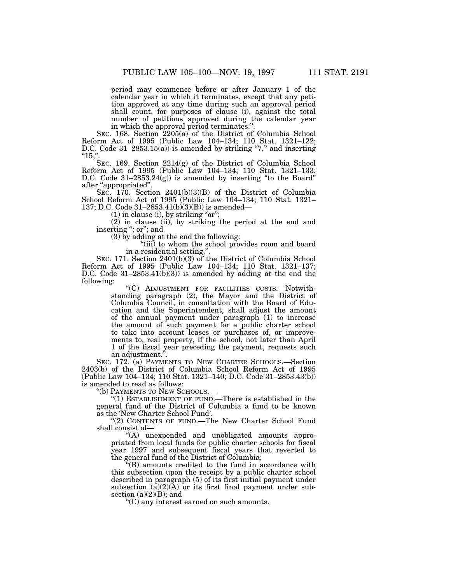period may commence before or after January 1 of the calendar year in which it terminates, except that any petition approved at any time during such an approval period shall count, for purposes of clause (i), against the total number of petitions approved during the calendar year in which the approval period terminates.''.

SEC. 168. Section 2205(a) of the District of Columbia School Reform Act of 1995 (Public Law 104–134; 110 Stat. 1321–122; D.C. Code 31-2853.15(a)) is amended by striking "7," and inserting  $"15,"$ 

SEC. 169. Section 2214(g) of the District of Columbia School Reform Act of 1995 (Public Law 104–134; 110 Stat. 1321–133; D.C. Code 31-2853.24(g)) is amended by inserting "to the Board" after ''appropriated''.

SEC. 170. Section 2401(b)(3)(B) of the District of Columbia School Reform Act of 1995 (Public Law 104–134; 110 Stat. 1321– 137; D.C. Code 31–2853.41(b)(3)(B)) is amended—

 $(1)$  in clause  $(i)$ , by striking "or";

(2) in clause (ii), by striking the period at the end and inserting ''; or''; and

(3) by adding at the end the following:

''(iii) to whom the school provides room and board in a residential setting."

SEC. 171. Section 2401(b)(3) of the District of Columbia School Reform Act of 1995 (Public Law 104–134; 110 Stat. 1321–137; D.C. Code  $31-2853.41(b)(3)$  is amended by adding at the end the following:

''(C) ADJUSTMENT FOR FACILITIES COSTS.—Notwithstanding paragraph (2), the Mayor and the District of Columbia Council, in consultation with the Board of Education and the Superintendent, shall adjust the amount of the annual payment under paragraph (1) to increase the amount of such payment for a public charter school to take into account leases or purchases of, or improvements to, real property, if the school, not later than April 1 of the fiscal year preceding the payment, requests such an adjustment.''.

SEC. 172. (a) PAYMENTS TO NEW CHARTER SCHOOLS.—Section 2403(b) of the District of Columbia School Reform Act of 1995 (Public Law 104–134; 110 Stat. 1321–140; D.C. Code 31–2853.43(b)) is amended to read as follows:

''(b) PAYMENTS TO NEW SCHOOLS.—

''(1) ESTABLISHMENT OF FUND.—There is established in the general fund of the District of Columbia a fund to be known as the 'New Charter School Fund'.

"(2) CONTENTS OF FUND.—The New Charter School Fund shall consist of—

''(A) unexpended and unobligated amounts appropriated from local funds for public charter schools for fiscal year 1997 and subsequent fiscal years that reverted to the general fund of the District of Columbia;

 $\tilde{H}(B)$  amounts credited to the fund in accordance with this subsection upon the receipt by a public charter school described in paragraph (5) of its first initial payment under subsection  $(a)(2)(A)$  or its first final payment under subsection  $(a)(2)(B)$ ; and

''(C) any interest earned on such amounts.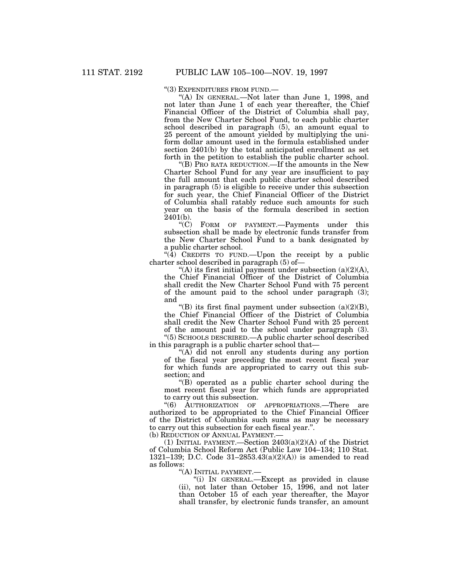''(3) EXPENDITURES FROM FUND.—

''(A) IN GENERAL.—Not later than June 1, 1998, and not later than June 1 of each year thereafter, the Chief Financial Officer of the District of Columbia shall pay, from the New Charter School Fund, to each public charter school described in paragraph (5), an amount equal to 25 percent of the amount yielded by multiplying the uniform dollar amount used in the formula established under section 2401(b) by the total anticipated enrollment as set forth in the petition to establish the public charter school.

''(B) PRO RATA REDUCTION.—If the amounts in the New Charter School Fund for any year are insufficient to pay the full amount that each public charter school described in paragraph (5) is eligible to receive under this subsection for such year, the Chief Financial Officer of the District of Columbia shall ratably reduce such amounts for such year on the basis of the formula described in section 2401(b).

''(C) FORM OF PAYMENT.—Payments under this subsection shall be made by electronic funds transfer from the New Charter School Fund to a bank designated by a public charter school.

" $(4)$  CREDITS TO FUND.—Upon the receipt by a public charter school described in paragraph (5) of—

"(A) its first initial payment under subsection  $(a)(2)(A)$ , the Chief Financial Officer of the District of Columbia shall credit the New Charter School Fund with 75 percent of the amount paid to the school under paragraph (3); and

"(B) its first final payment under subsection  $(a)(2)(B)$ , the Chief Financial Officer of the District of Columbia shall credit the New Charter School Fund with 25 percent of the amount paid to the school under paragraph (3). ''(5) SCHOOLS DESCRIBED.—A public charter school described

in this paragraph is a public charter school that—

" $(A)$  did not enroll any students during any portion of the fiscal year preceding the most recent fiscal year for which funds are appropriated to carry out this subsection; and

''(B) operated as a public charter school during the most recent fiscal year for which funds are appropriated to carry out this subsection.

''(6) AUTHORIZATION OF APPROPRIATIONS.—There are authorized to be appropriated to the Chief Financial Officer of the District of Columbia such sums as may be necessary to carry out this subsection for each fiscal year.''.

(b) REDUCTION OF ANNUAL PAYMENT.

(1) INITIAL PAYMENT.—Section 2403(a)(2)(A) of the District of Columbia School Reform Act (Public Law 104–134; 110 Stat. 1321–139; D.C. Code 31–2853.43(a)(2)(A)) is amended to read as follows:

''(A) INITIAL PAYMENT.—

''(i) IN GENERAL.—Except as provided in clause (ii), not later than October 15, 1996, and not later than October 15 of each year thereafter, the Mayor shall transfer, by electronic funds transfer, an amount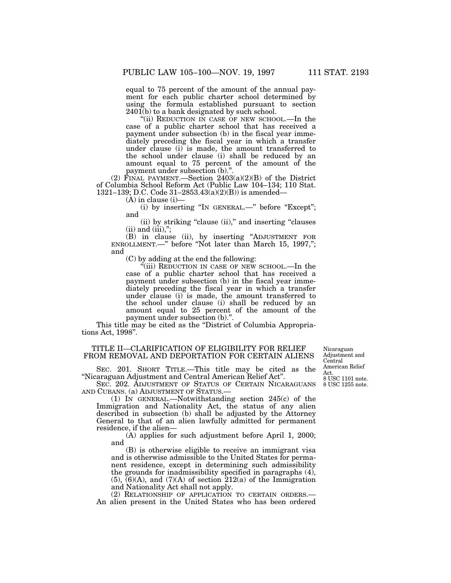equal to 75 percent of the amount of the annual payment for each public charter school determined by using the formula established pursuant to section 2401(b) to a bank designated by such school.

"(ii) REDUCTION IN CASE OF NEW SCHOOL.—In the case of a public charter school that has received a payment under subsection (b) in the fiscal year immediately preceding the fiscal year in which a transfer under clause (i) is made, the amount transferred to the school under clause (i) shall be reduced by an amount equal to 75 percent of the amount of the payment under subsection (b).''.

(2) FINAL PAYMENT.—Section  $2403(a)(2)(B)$  of the District of Columbia School Reform Act (Public Law 104–134; 110 Stat. 1321–139; D.C. Code 31–2853.43(a)(2)(B)) is amended—

(A) in clause (i)—

(i) by inserting "IN GENERAL.—" before "Except"; and

(ii) by striking "clause (ii)," and inserting "clauses  $(ii)$  and  $(iii)$ ,";

(B) in clause (ii), by inserting ''ADJUSTMENT FOR ENROLLMENT.—'' before ''Not later than March 15, 1997,''; and

(C) by adding at the end the following:

 $\cdot$ <sup>"(iii)</sup> REDUCTION IN CASE OF NEW SCHOOL.—In the case of a public charter school that has received a payment under subsection (b) in the fiscal year immediately preceding the fiscal year in which a transfer under clause (i) is made, the amount transferred to the school under clause (i) shall be reduced by an amount equal to 25 percent of the amount of the payment under subsection (b)."

This title may be cited as the "District of Columbia Appropriations Act, 1998''.

# TITLE II—CLARIFICATION OF ELIGIBILITY FOR RELIEF FROM REMOVAL AND DEPORTATION FOR CERTAIN ALIENS

SEC. 201. SHORT TITLE.—This title may be cited as the ''Nicaraguan Adjustment and Central American Relief Act''.

8 USC 1255 note. 8 USC 1101 note. Nicaraguan Adjustment and Central American Relief Act.

SEC. 202. ADJUSTMENT OF STATUS OF CERTAIN NICARAGUANS AND CUBANS. (a) ADJUSTMENT OF STATUS.—

(1) IN GENERAL.—Notwithstanding section 245(c) of the Immigration and Nationality Act, the status of any alien described in subsection (b) shall be adjusted by the Attorney General to that of an alien lawfully admitted for permanent residence, if the alien—

(A) applies for such adjustment before April 1, 2000; and

(B) is otherwise eligible to receive an immigrant visa and is otherwise admissible to the United States for permanent residence, except in determining such admissibility the grounds for inadmissibility specified in paragraphs (4),  $(5)$ ,  $(6)(A)$ , and  $(7)(A)$  of section  $212(a)$  of the Immigration and Nationality Act shall not apply.

(2) RELATIONSHIP OF APPLICATION TO CERTAIN ORDERS.— An alien present in the United States who has been ordered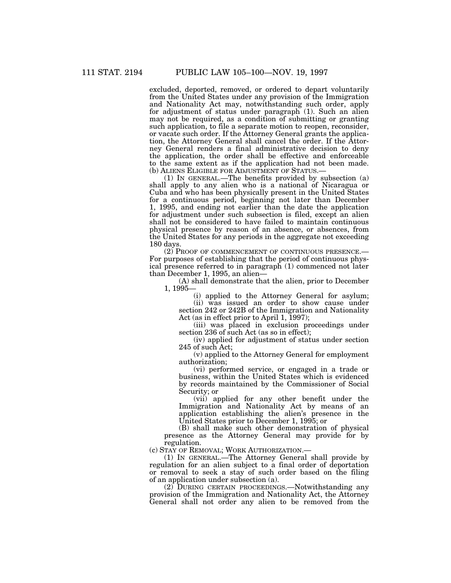excluded, deported, removed, or ordered to depart voluntarily from the United States under any provision of the Immigration and Nationality Act may, notwithstanding such order, apply for adjustment of status under paragraph (1). Such an alien may not be required, as a condition of submitting or granting such application, to file a separate motion to reopen, reconsider, or vacate such order. If the Attorney General grants the application, the Attorney General shall cancel the order. If the Attorney General renders a final administrative decision to deny the application, the order shall be effective and enforceable to the same extent as if the application had not been made. (b) ALIENS ELIGIBLE FOR ADJUSTMENT OF STATUS.—

(1) IN GENERAL.—The benefits provided by subsection (a) shall apply to any alien who is a national of Nicaragua or Cuba and who has been physically present in the United States for a continuous period, beginning not later than December 1, 1995, and ending not earlier than the date the application for adjustment under such subsection is filed, except an alien shall not be considered to have failed to maintain continuous physical presence by reason of an absence, or absences, from the United States for any periods in the aggregate not exceeding 180 days.

(2) PROOF OF COMMENCEMENT OF CONTINUOUS PRESENCE.— For purposes of establishing that the period of continuous physical presence referred to in paragraph (1) commenced not later than December 1, 1995, an alien—

(A) shall demonstrate that the alien, prior to December 1, 1995—

(i) applied to the Attorney General for asylum;

(ii) was issued an order to show cause under section 242 or 242B of the Immigration and Nationality Act (as in effect prior to April 1, 1997);

(iii) was placed in exclusion proceedings under section 236 of such Act (as so in effect);

(iv) applied for adjustment of status under section 245 of such Act;

(v) applied to the Attorney General for employment authorization;

(vi) performed service, or engaged in a trade or business, within the United States which is evidenced by records maintained by the Commissioner of Social Security; or

(vii) applied for any other benefit under the Immigration and Nationality Act by means of an application establishing the alien's presence in the United States prior to December 1, 1995; or

(B) shall make such other demonstration of physical presence as the Attorney General may provide for by regulation.

(c) STAY OF REMOVAL; WORK AUTHORIZATION.—

(1) IN GENERAL.—The Attorney General shall provide by regulation for an alien subject to a final order of deportation or removal to seek a stay of such order based on the filing of an application under subsection (a).

(2) DURING CERTAIN PROCEEDINGS.—Notwithstanding any provision of the Immigration and Nationality Act, the Attorney General shall not order any alien to be removed from the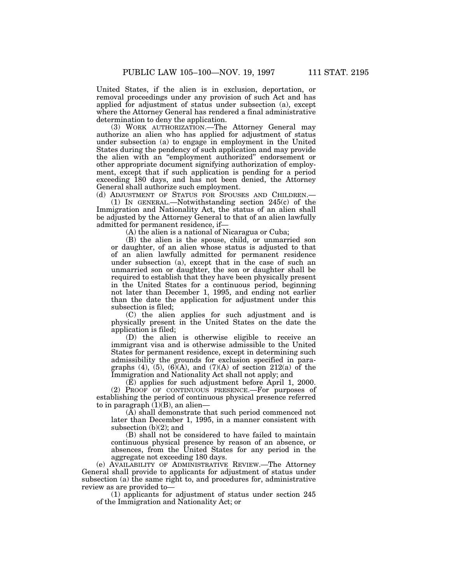United States, if the alien is in exclusion, deportation, or removal proceedings under any provision of such Act and has applied for adjustment of status under subsection (a), except where the Attorney General has rendered a final administrative determination to deny the application.

(3) WORK AUTHORIZATION.—The Attorney General may authorize an alien who has applied for adjustment of status under subsection (a) to engage in employment in the United States during the pendency of such application and may provide the alien with an ''employment authorized'' endorsement or other appropriate document signifying authorization of employment, except that if such application is pending for a period exceeding 180 days, and has not been denied, the Attorney General shall authorize such employment.

(d) ADJUSTMENT OF STATUS FOR SPOUSES AND CHILDREN.—

(1) IN GENERAL.—Notwithstanding section 245(c) of the Immigration and Nationality Act, the status of an alien shall be adjusted by the Attorney General to that of an alien lawfully admitted for permanent residence, if—

(A) the alien is a national of Nicaragua or Cuba;

(B) the alien is the spouse, child, or unmarried son or daughter, of an alien whose status is adjusted to that of an alien lawfully admitted for permanent residence under subsection (a), except that in the case of such an unmarried son or daughter, the son or daughter shall be required to establish that they have been physically present in the United States for a continuous period, beginning not later than December 1, 1995, and ending not earlier than the date the application for adjustment under this subsection is filed;

(C) the alien applies for such adjustment and is physically present in the United States on the date the application is filed;

(D) the alien is otherwise eligible to receive an immigrant visa and is otherwise admissible to the United States for permanent residence, except in determining such admissibility the grounds for exclusion specified in paragraphs (4), (5), (6)(A), and (7)(A) of section 212(a) of the Immigration and Nationality Act shall not apply; and

(E) applies for such adjustment before April 1, 2000. (2) PROOF OF CONTINUOUS PRESENCE.—For purposes of establishing the period of continuous physical presence referred to in paragraph  $(1)(B)$ , an alien-

 $(\overline{A})$  shall demonstrate that such period commenced not later than December 1, 1995, in a manner consistent with subsection (b)(2); and

(B) shall not be considered to have failed to maintain continuous physical presence by reason of an absence, or absences, from the United States for any period in the aggregate not exceeding 180 days.

(e) AVAILABILITY OF ADMINISTRATIVE REVIEW.—The Attorney General shall provide to applicants for adjustment of status under subsection (a) the same right to, and procedures for, administrative review as are provided to—

(1) applicants for adjustment of status under section 245 of the Immigration and Nationality Act; or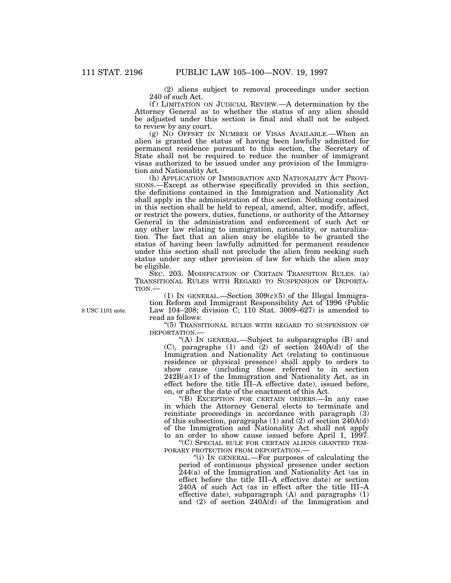(2) aliens subject to removal proceedings under section 240 of such Act.

(f) LIMITATION ON JUDICIAL REVIEW.—A determination by the Attorney General as to whether the status of any alien should be adjusted under this section is final and shall not be subject to review by any court.

(g) NO OFFSET IN NUMBER OF VISAS AVAILABLE.—When an alien is granted the status of having been lawfully admitted for permanent residence pursuant to this section, the Secretary of State shall not be required to reduce the number of immigrant visas authorized to be issued under any provision of the Immigration and Nationality Act.

(h) APPLICATION OF IMMIGRATION AND NATIONALITY ACT PROVI-SIONS.—Except as otherwise specifically provided in this section, the definitions contained in the Immigration and Nationality Act shall apply in the administration of this section. Nothing contained in this section shall be held to repeal, amend, alter, modify, affect, or restrict the powers, duties, functions, or authority of the Attorney General in the administration and enforcement of such Act or any other law relating to immigration, nationality, or naturalization. The fact that an alien may be eligible to be granted the status of having been lawfully admitted for permanent residence under this section shall not preclude the alien from seeking such status under any other provision of law for which the alien may be eligible.

SEC. 203. MODIFICATION OF CERTAIN TRANSITION RULES. (a) TRANSITIONAL RULES WITH REGARD TO SUSPENSION OF DEPORTA-TION.—

(1) IN GENERAL.—Section  $309(c)(5)$  of the Illegal Immigration Reform and Immigrant Responsibility Act of 1996 (Public Law 104–208; division C; 110 Stat. 3009–627) is amended to read as follows:

''(5) TRANSITIONAL RULES WITH REGARD TO SUSPENSION OF DEPORTATION.—

"(A) IN GENERAL.—Subject to subparagraphs (B) and (C), paragraphs (1) and (2) of section  $\tilde{2}40A(d)$  of the Immigration and Nationality Act (relating to continuous residence or physical presence) shall apply to orders to show cause (including those referred to in section  $242B(a)(1)$  of the Immigration and Nationality Act, as in effect before the title III–A effective date), issued before, on, or after the date of the enactment of this Act.

''(B) EXCEPTION FOR CERTAIN ORDERS.—In any case in which the Attorney General elects to terminate and reinitiate proceedings in accordance with paragraph (3) of this subsection, paragraphs (1) and (2) of section 240A(d) of the Immigration and Nationality Act shall not apply to an order to show cause issued before April 1, 1997.

''(C) SPECIAL RULE FOR CERTAIN ALIENS GRANTED TEM-PORARY PROTECTION FROM DEPORTATION.—

''(i) IN GENERAL.—For purposes of calculating the period of continuous physical presence under section 244(a) of the Immigration and Nationality Act (as in effect before the title III–A effective date) or section 240A of such Act (as in effect after the title III–A effective date), subparagraph (A) and paragraphs (1) and (2) of section 240A(d) of the Immigration and

8 USC 1101 note.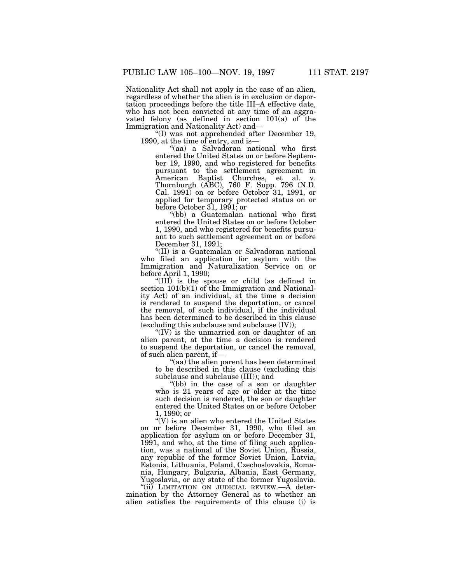Nationality Act shall not apply in the case of an alien, regardless of whether the alien is in exclusion or deportation proceedings before the title III–A effective date, who has not been convicted at any time of an aggravated felony (as defined in section 101(a) of the Immigration and Nationality Act) and—

''(I) was not apprehended after December 19, 1990, at the time of entry, and is—

''(aa) a Salvadoran national who first entered the United States on or before September 19, 1990, and who registered for benefits pursuant to the settlement agreement in American Baptist Churches, et al. v. Thornburgh (ABC), 760 F. Supp. 796 (N.D. Cal. 1991) on or before October 31, 1991, or applied for temporary protected status on or before October 31, 1991; or

''(bb) a Guatemalan national who first entered the United States on or before October 1, 1990, and who registered for benefits pursuant to such settlement agreement on or before December 31, 1991;

''(II) is a Guatemalan or Salvadoran national who filed an application for asylum with the Immigration and Naturalization Service on or before April 1, 1990;

''(III) is the spouse or child (as defined in section  $101(b)(1)$  of the Immigration and Nationality Act) of an individual, at the time a decision is rendered to suspend the deportation, or cancel the removal, of such individual, if the individual has been determined to be described in this clause (excluding this subclause and subclause (IV));

" $(IV)$  is the unmarried son or daughter of an alien parent, at the time a decision is rendered to suspend the deportation, or cancel the removal, of such alien parent, if—

''(aa) the alien parent has been determined to be described in this clause (excluding this subclause and subclause (III)); and

''(bb) in the case of a son or daughter who is 21 years of age or older at the time such decision is rendered, the son or daughter entered the United States on or before October 1, 1990; or

 $\mathcal{C}(V)$  is an alien who entered the United States on or before December 31, 1990, who filed an application for asylum on or before December 31, 1991, and who, at the time of filing such application, was a national of the Soviet Union, Russia, any republic of the former Soviet Union, Latvia, Estonia, Lithuania, Poland, Czechoslovakia, Romania, Hungary, Bulgaria, Albania, East Germany, Yugoslavia, or any state of the former Yugoslavia.

"(ii) LIMITATION ON JUDICIAL REVIEW.—A determination by the Attorney General as to whether an alien satisfies the requirements of this clause (i) is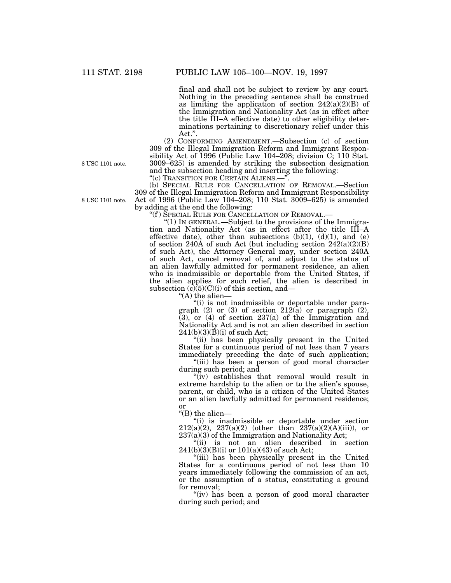final and shall not be subject to review by any court. Nothing in the preceding sentence shall be construed as limiting the application of section  $242(a)(2)(B)$  of the Immigration and Nationality Act (as in effect after the title III–A effective date) to other eligibility determinations pertaining to discretionary relief under this Act.''.

(2) CONFORMING AMENDMENT.—Subsection (c) of section 309 of the Illegal Immigration Reform and Immigrant Responsibility Act of 1996 (Public Law 104–208; division C; 110 Stat. 3009–625) is amended by striking the subsection designation and the subsection heading and inserting the following:

''(c) TRANSITION FOR CERTAIN ALIENS.—''.

(b) SPECIAL RULE FOR CANCELLATION OF REMOVAL.—Section 309 of the Illegal Immigration Reform and Immigrant Responsibility Act of 1996 (Public Law 104–208; 110 Stat. 3009–625) is amended by adding at the end the following:

''(f ) SPECIAL RULE FOR CANCELLATION OF REMOVAL.—

''(1) IN GENERAL.—Subject to the provisions of the Immigration and Nationality Act (as in effect after the title III–A effective date), other than subsections  $(b)(1)$ ,  $(d)(1)$ , and  $(e)$ of section 240A of such Act (but including section  $242(a)(2)(B)$ of such Act), the Attorney General may, under section 240A of such Act, cancel removal of, and adjust to the status of an alien lawfully admitted for permanent residence, an alien who is inadmissible or deportable from the United States, if the alien applies for such relief, the alien is described in subsection  $(c)(5)(C)(i)$  of this section, and—

"(A) the alien-

''(i) is not inadmissible or deportable under paragraph (2) or (3) of section 212(a) or paragraph (2),  $(3)$ , or  $(4)$  of section 237(a) of the Immigration and Nationality Act and is not an alien described in section  $241(b)(3)(B)(i)$  of such Act;

''(ii) has been physically present in the United States for a continuous period of not less than 7 years immediately preceding the date of such application;

"(iii) has been a person of good moral character during such period; and

''(iv) establishes that removal would result in extreme hardship to the alien or to the alien's spouse, parent, or child, who is a citizen of the United States or an alien lawfully admitted for permanent residence; or

''(B) the alien—

''(i) is inadmissible or deportable under section  $212(a)(2)$ ,  $237(a)(2)$  (other than  $237(a)(2)(A)(iii)$ ), or  $237(a)(3)$  of the Immigration and Nationality Act;

''(ii) is not an alien described in section  $241(b)(3)(B)(i)$  or  $101(a)(43)$  of such Act;

"(iii) has been physically present in the United States for a continuous period of not less than 10 years immediately following the commission of an act, or the assumption of a status, constituting a ground for removal;

"(iv) has been a person of good moral character during such period; and

8 USC 1101 note.

8 USC 1101 note.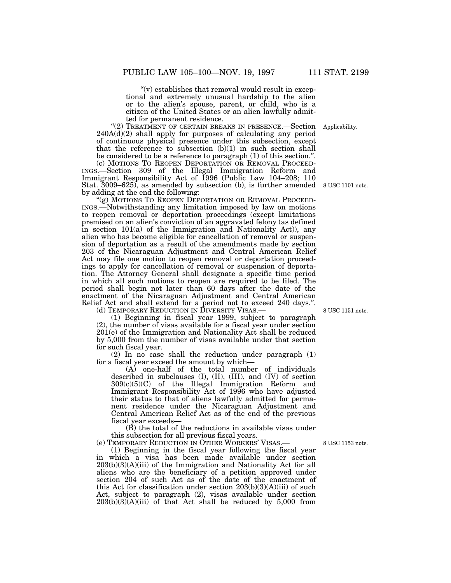" $(v)$  establishes that removal would result in exceptional and extremely unusual hardship to the alien or to the alien's spouse, parent, or child, who is a citizen of the United States or an alien lawfully admitted for permanent residence.

"(2) TREATMENT OF CERTAIN BREAKS IN PRESENCE.—Section 240A(d)(2) shall apply for purposes of calculating any period of continuous physical presence under this subsection, except that the reference to subsection  $(b)(1)$  in such section shall be considered to be a reference to paragraph (1) of this section.''.

(c) MOTIONS TO REOPEN DEPORTATION OR REMOVAL PROCEED-INGS.—Section 309 of the Illegal Immigration Reform and Immigrant Responsibility Act of 1996 (Public Law 104–208; 110 Stat. 3009–625), as amended by subsection (b), is further amended 8 USC 1101 note. by adding at the end the following:

"(g) MOTIONS TO REOPEN DEPORTATION OR REMOVAL PROCEED-INGS.—Notwithstanding any limitation imposed by law on motions to reopen removal or deportation proceedings (except limitations premised on an alien's conviction of an aggravated felony (as defined in section 101(a) of the Immigration and Nationality Act)), any alien who has become eligible for cancellation of removal or suspension of deportation as a result of the amendments made by section 203 of the Nicaraguan Adjustment and Central American Relief Act may file one motion to reopen removal or deportation proceedings to apply for cancellation of removal or suspension of deportation. The Attorney General shall designate a specific time period in which all such motions to reopen are required to be filed. The period shall begin not later than 60 days after the date of the enactment of the Nicaraguan Adjustment and Central American Relief Act and shall extend for a period not to exceed 240 days.''.

(d) TEMPORARY REDUCTION IN DIVERSITY VISAS.

(1) Beginning in fiscal year 1999, subject to paragraph (2), the number of visas available for a fiscal year under section 201(e) of the Immigration and Nationality Act shall be reduced by 5,000 from the number of visas available under that section for such fiscal year.

(2) In no case shall the reduction under paragraph (1) for a fiscal year exceed the amount by which—

(A) one-half of the total number of individuals described in subclauses (I), (II), (III), and (IV) of section 309(c)(5)(C) of the Illegal Immigration Reform and Immigrant Responsibility Act of 1996 who have adjusted their status to that of aliens lawfully admitted for permanent residence under the Nicaraguan Adjustment and Central American Relief Act as of the end of the previous fiscal year exceeds—

(B) the total of the reductions in available visas under this subsection for all previous fiscal years.

(e) TEMPORARY REDUCTION IN OTHER WORKERS' VISAS.—

(1) Beginning in the fiscal year following the fiscal year in which a visa has been made available under section 203(b)(3)(A)(iii) of the Immigration and Nationality Act for all aliens who are the beneficiary of a petition approved under section 204 of such Act as of the date of the enactment of this Act for classification under section  $203(b)(3)(A)(iii)$  of such Act, subject to paragraph (2), visas available under section  $203(b)(3)(A)(iii)$  of that Act shall be reduced by 5,000 from

8 USC 1153 note.

8 USC 1151 note.

Applicability.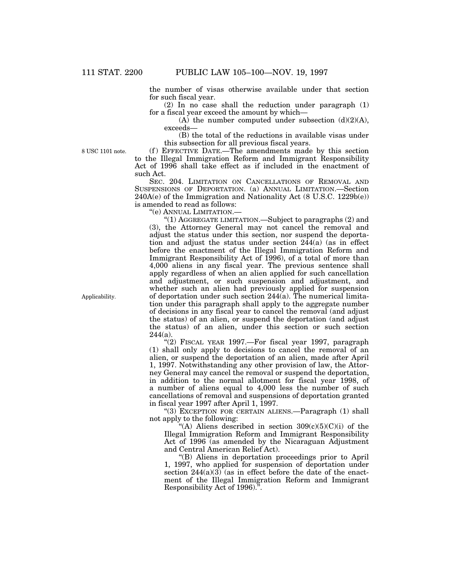the number of visas otherwise available under that section for such fiscal year.

(2) In no case shall the reduction under paragraph (1) for a fiscal year exceed the amount by which—

(A) the number computed under subsection  $(d)(2)(A)$ , exceeds—

(B) the total of the reductions in available visas under this subsection for all previous fiscal years.

8 USC 1101 note.

(f) EFFECTIVE DATE.—The amendments made by this section to the Illegal Immigration Reform and Immigrant Responsibility Act of 1996 shall take effect as if included in the enactment of such Act.

SEC. 204. LIMITATION ON CANCELLATIONS OF REMOVAL AND SUSPENSIONS OF DEPORTATION. (a) ANNUAL LIMITATION.—Section 240A(e) of the Immigration and Nationality Act (8 U.S.C. 1229b(e)) is amended to read as follows:

''(e) ANNUAL LIMITATION.—

"(1) AGGREGATE LIMITATION.—Subject to paragraphs  $(2)$  and (3), the Attorney General may not cancel the removal and adjust the status under this section, nor suspend the deportation and adjust the status under section 244(a) (as in effect before the enactment of the Illegal Immigration Reform and Immigrant Responsibility Act of 1996), of a total of more than 4,000 aliens in any fiscal year. The previous sentence shall apply regardless of when an alien applied for such cancellation and adjustment, or such suspension and adjustment, and whether such an alien had previously applied for suspension of deportation under such section 244(a). The numerical limitation under this paragraph shall apply to the aggregate number of decisions in any fiscal year to cancel the removal (and adjust the status) of an alien, or suspend the deportation (and adjust the status) of an alien, under this section or such section  $244(a)$ .

''(2) FISCAL YEAR 1997.—For fiscal year 1997, paragraph (1) shall only apply to decisions to cancel the removal of an alien, or suspend the deportation of an alien, made after April 1, 1997. Notwithstanding any other provision of law, the Attorney General may cancel the removal or suspend the deportation, in addition to the normal allotment for fiscal year 1998, of a number of aliens equal to 4,000 less the number of such cancellations of removal and suspensions of deportation granted in fiscal year 1997 after April 1, 1997.

"(3) EXCEPTION FOR CERTAIN ALIENS.—Paragraph (1) shall not apply to the following:

"(A) Aliens described in section  $309(c)(5)(C)(i)$  of the Illegal Immigration Reform and Immigrant Responsibility Act of 1996 (as amended by the Nicaraguan Adjustment and Central American Relief Act).

''(B) Aliens in deportation proceedings prior to April 1, 1997, who applied for suspension of deportation under section  $244(a)(3)$  (as in effect before the date of the enactment of the Illegal Immigration Reform and Immigrant Responsibility Act of 1996).''.

Applicability.